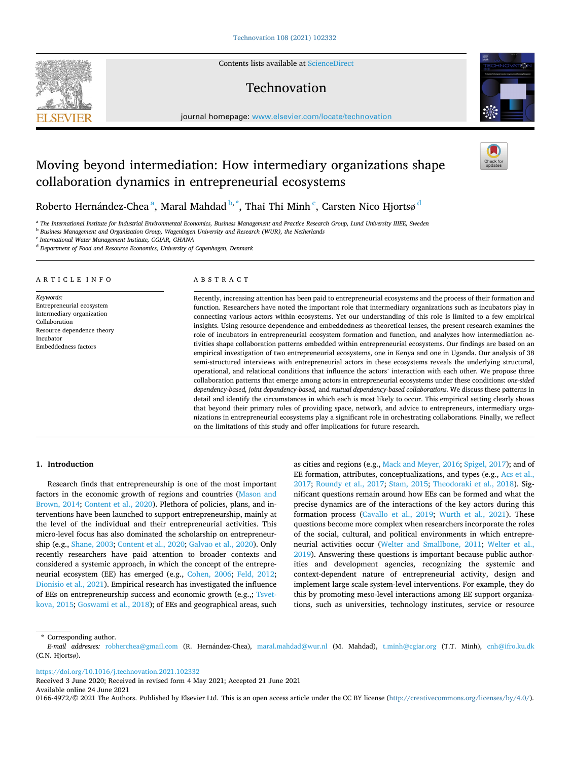Contents lists available at [ScienceDirect](www.sciencedirect.com/science/journal/01664972)

# Technovation

journal homepage: [www.elsevier.com/locate/technovation](https://www.elsevier.com/locate/technovation) 

# Moving beyond intermediation: How intermediary organizations shape collaboration dynamics in entrepreneurial ecosystems

Roberto Hernández-Chea $^{\rm a}$ , Maral Mahdad  $^{\rm b, *}$ , Thai Thi Minh  $^{\rm c}$ , Carsten Nico Hjortsø  $^{\rm d}$ 

<sup>a</sup> The International Institute for Industrial Environmental Economics, Business Management and Practice Research Group, Lund University IIIEE, Sweden

<sup>b</sup> *Business Management and Organization Group, Wageningen University and Research (WUR), the Netherlands* 

<sup>c</sup> *International Water Management Institute, CGIAR, GHANA* 

<sup>d</sup> *Department of Food and Resource Economics, University of Copenhagen, Denmark* 

# ARTICLE INFO

*Keywords:*  Entrepreneurial ecosystem Intermediary organization Collaboration Resource dependence theory Incubator Embeddedness factors

#### ABSTRACT

Recently, increasing attention has been paid to entrepreneurial ecosystems and the process of their formation and function. Researchers have noted the important role that intermediary organizations such as incubators play in connecting various actors within ecosystems. Yet our understanding of this role is limited to a few empirical insights. Using resource dependence and embeddedness as theoretical lenses, the present research examines the role of incubators in entrepreneurial ecosystem formation and function, and analyzes how intermediation activities shape collaboration patterns embedded within entrepreneurial ecosystems. Our findings are based on an empirical investigation of two entrepreneurial ecosystems, one in Kenya and one in Uganda. Our analysis of 38 semi-structured interviews with entrepreneurial actors in these ecosystems reveals the underlying structural, operational, and relational conditions that influence the actors' interaction with each other. We propose three collaboration patterns that emerge among actors in entrepreneurial ecosystems under these conditions: *one-sided dependency-based, joint dependency-based,* and *mutual dependency-based collaborations.* We discuss these patterns in detail and identify the circumstances in which each is most likely to occur. This empirical setting clearly shows that beyond their primary roles of providing space, network, and advice to entrepreneurs, intermediary organizations in entrepreneurial ecosystems play a significant role in orchestrating collaborations. Finally, we reflect on the limitations of this study and offer implications for future research.

## **1. Introduction**

Research finds that entrepreneurship is one of the most important factors in the economic growth of regions and countries [\(Mason and](#page-13-0)  [Brown, 2014](#page-13-0); [Content et al., 2020](#page-13-0)). Plethora of policies, plans, and interventions have been launched to support entrepreneurship, mainly at the level of the individual and their entrepreneurial activities. This micro-level focus has also dominated the scholarship on entrepreneurship (e.g., [Shane, 2003](#page-13-0); [Content et al., 2020; Galvao et al., 2020](#page-13-0)). Only recently researchers have paid attention to broader contexts and considered a systemic approach, in which the concept of the entrepreneurial ecosystem (EE) has emerged (e.g., [Cohen, 2006;](#page-13-0) [Feld, 2012](#page-13-0); [Dionisio et al., 2021\)](#page-13-0). Empirical research has investigated the influence of EEs on entrepreneurship success and economic growth (e.g.,; [Tsvet](#page-13-0)[kova, 2015; Goswami et al., 2018\)](#page-13-0); of EEs and geographical areas, such as cities and regions (e.g., [Mack and Meyer, 2016](#page-13-0); [Spigel, 2017](#page-13-0)); and of EE formation, attributes, conceptualizations, and types (e.g., Acs et al., [2017;](#page-12-0) [Roundy et al., 2017;](#page-13-0) [Stam, 2015;](#page-13-0) [Theodoraki et al., 2018](#page-13-0)). Significant questions remain around how EEs can be formed and what the precise dynamics are of the interactions of the key actors during this formation process [\(Cavallo et al., 2019](#page-13-0); [Wurth et al., 2021](#page-13-0)). These questions become more complex when researchers incorporate the roles of the social, cultural, and political environments in which entrepreneurial activities occur [\(Welter and Smallbone, 2011;](#page-13-0) [Welter et al.,](#page-13-0)  [2019\)](#page-13-0). Answering these questions is important because public authorities and development agencies, recognizing the systemic and context-dependent nature of entrepreneurial activity, design and implement large scale system-level interventions. For example, they do this by promoting meso-level interactions among EE support organizations, such as universities, technology institutes, service or resource

\* Corresponding author.

<https://doi.org/10.1016/j.technovation.2021.102332>

Received 3 June 2020; Received in revised form 4 May 2021; Accepted 21 June 2021

Available online 24 June 2021





*E-mail addresses: r*obherchea@gmail.com (R. Hernández-Chea), [maral.mahdad@wur.nl](mailto:maral.mahdad@wur.nl) (M. Mahdad), [t.minh@cgiar.org](mailto:t.minh@cgiar.org) (T.T. Minh), cnh@ifro.ku.dk (C.N. Hjortsø).

<sup>0166-4972/© 2021</sup> The Authors. Published by Elsevier Ltd. This is an open access article under the CC BY license [\(http://creativecommons.org/licenses/by/4.0/\)](http://creativecommons.org/licenses/by/4.0/).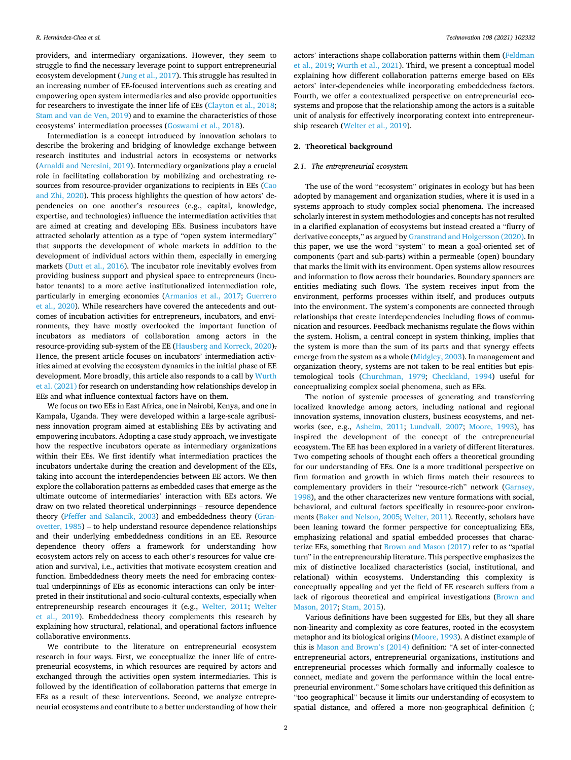providers, and intermediary organizations. However, they seem to struggle to find the necessary leverage point to support entrepreneurial ecosystem development ([Jung et al., 2017](#page-13-0)). This struggle has resulted in an increasing number of EE-focused interventions such as creating and empowering open system intermediaries and also provide opportunities for researchers to investigate the inner life of EEs ([Clayton et al., 2018](#page-13-0); [Stam and van de Ven, 2019\)](#page-13-0) and to examine the characteristics of those ecosystems' intermediation processes ([Goswami et al., 2018\)](#page-13-0).

Intermediation is a concept introduced by innovation scholars to describe the brokering and bridging of knowledge exchange between research institutes and industrial actors in ecosystems or networks ([Arnaldi and Neresini, 2019\)](#page-12-0). Intermediary organizations play a crucial role in facilitating collaboration by mobilizing and orchestrating resources from resource-provider organizations to recipients in EEs [\(Cao](#page-13-0)  [and Zhi, 2020](#page-13-0)). This process highlights the question of how actors' dependencies on one another's resources (e.g., capital, knowledge, expertise, and technologies) influence the intermediation activities that are aimed at creating and developing EEs. Business incubators have attracted scholarly attention as a type of "open system intermediary" that supports the development of whole markets in addition to the development of individual actors within them, especially in emerging markets [\(Dutt et al., 2016](#page-13-0)). The incubator role inevitably evolves from providing business support and physical space to entrepreneurs (incubator tenants) to a more active institutionalized intermediation role, particularly in emerging economies [\(Armanios et al., 2017](#page-12-0); [Guerrero](#page-13-0)  [et al., 2020](#page-13-0)). While researchers have covered the antecedents and outcomes of incubation activities for entrepreneurs, incubators, and environments, they have mostly overlooked the important function of incubators as mediators of collaboration among actors in the resource-providing sub-system of the EE [\(Hausberg and Korreck, 2020](#page-13-0)). Hence, the present article focuses on incubators' intermediation activities aimed at evolving the ecosystem dynamics in the initial phase of EE development. More broadly, this article also responds to a call by [Wurth](#page-13-0)  [et al. \(2021\)](#page-13-0) for research on understanding how relationships develop in EEs and what influence contextual factors have on them.

We focus on two EEs in East Africa, one in Nairobi, Kenya, and one in Kampala, Uganda. They were developed within a large-scale agribusiness innovation program aimed at establishing EEs by activating and empowering incubators. Adopting a case study approach, we investigate how the respective incubators operate as intermediary organizations within their EEs. We first identify what intermediation practices the incubators undertake during the creation and development of the EEs, taking into account the interdependencies between EE actors. We then explore the collaboration patterns as embedded cases that emerge as the ultimate outcome of intermediaries' interaction with EEs actors. We draw on two related theoretical underpinnings – resource dependence theory ([Pfeffer and Salancik, 2003\)](#page-13-0) and embeddedness theory ([Gran](#page-13-0)[ovetter, 1985](#page-13-0)) – to help understand resource dependence relationships and their underlying embeddedness conditions in an EE. Resource dependence theory offers a framework for understanding how ecosystem actors rely on access to each other's resources for value creation and survival, i.e., activities that motivate ecosystem creation and function. Embeddedness theory meets the need for embracing contextual underpinnings of EEs as economic interactions can only be interpreted in their institutional and socio-cultural contexts, especially when entrepreneurship research encourages it (e.g., [Welter, 2011;](#page-13-0) [Welter](#page-13-0)  [et al., 2019\)](#page-13-0). Embeddedness theory complements this research by explaining how structural, relational, and operational factors influence collaborative environments.

We contribute to the literature on entrepreneurial ecosystem research in four ways. First, we conceptualize the inner life of entrepreneurial ecosystems, in which resources are required by actors and exchanged through the activities open system intermediaries. This is followed by the identification of collaboration patterns that emerge in EEs as a result of these interventions. Second, we analyze entrepreneurial ecosystems and contribute to a better understanding of how their

actors' interactions shape collaboration patterns within them [\(Feldman](#page-13-0)  [et al., 2019; Wurth et al., 2021](#page-13-0)). Third, we present a conceptual model explaining how different collaboration patterns emerge based on EEs actors' inter-dependencies while incorporating embeddedness factors. Fourth, we offer a contextualized perspective on entrepreneurial ecosystems and propose that the relationship among the actors is a suitable unit of analysis for effectively incorporating context into entrepreneurship research ([Welter et al., 2019\)](#page-13-0).

# **2. Theoretical background**

# *2.1. The entrepreneurial ecosystem*

The use of the word "ecosystem" originates in ecology but has been adopted by management and organization studies, where it is used in a systems approach to study complex social phenomena. The increased scholarly interest in system methodologies and concepts has not resulted in a clarified explanation of ecosystems but instead created a "flurry of derivative concepts," as argued by [Granstrand and Holgersson \(2020\).](#page-13-0) In this paper, we use the word "system" to mean a goal-oriented set of components (part and sub-parts) within a permeable (open) boundary that marks the limit with its environment. Open systems allow resources and information to flow across their boundaries. Boundary spanners are entities mediating such flows. The system receives input from the environment, performs processes within itself, and produces outputs into the environment. The system's components are connected through relationships that create interdependencies including flows of communication and resources. Feedback mechanisms regulate the flows within the system. Holism, a central concept in system thinking, implies that the system is more than the sum of its parts and that synergy effects emerge from the system as a whole ([Midgley, 2003\)](#page-13-0). In management and organization theory, systems are not taken to be real entities but epistemological tools ([Churchman, 1979;](#page-13-0) [Checkland, 1994](#page-13-0)) useful for conceptualizing complex social phenomena, such as EEs.

The notion of systemic processes of generating and transferring localized knowledge among actors, including national and regional innovation systems, innovation clusters, business ecosystems, and networks (see, e.g., [Asheim, 2011;](#page-12-0) [Lundvall, 2007](#page-13-0); [Moore, 1993](#page-13-0)), has inspired the development of the concept of the entrepreneurial ecosystem. The EE has been explored in a variety of different literatures. Two competing schools of thought each offers a theoretical grounding for our understanding of EEs. One is a more traditional perspective on firm formation and growth in which firms match their resources to complementary providers in their "resource-rich" network ([Garnsey,](#page-13-0)  [1998\)](#page-13-0), and the other characterizes new venture formations with social, behavioral, and cultural factors specifically in resource-poor environments ([Baker and Nelson, 2005](#page-12-0); [Welter, 2011\)](#page-13-0). Recently, scholars have been leaning toward the former perspective for conceptualizing EEs, emphasizing relational and spatial embedded processes that characterize EEs, something that [Brown and Mason \(2017\)](#page-13-0) refer to as "spatial turn" in the entrepreneurship literature. This perspective emphasizes the mix of distinctive localized characteristics (social, institutional, and relational) within ecosystems. Understanding this complexity is conceptually appealing and yet the field of EE research suffers from a lack of rigorous theoretical and empirical investigations ([Brown and](#page-13-0)  [Mason, 2017](#page-13-0); [Stam, 2015](#page-13-0)).

Various definitions have been suggested for EEs, but they all share non-linearity and complexity as core features, rooted in the ecosystem metaphor and its biological origins ([Moore, 1993](#page-13-0)). A distinct example of this is [Mason and Brown](#page-13-0)'s (2014) definition: "A set of inter-connected entrepreneurial actors, entrepreneurial organizations, institutions and entrepreneurial processes which formally and informally coalesce to connect, mediate and govern the performance within the local entrepreneurial environment." Some scholars have critiqued this definition as "too geographical" because it limits our understanding of ecosystem to spatial distance, and offered a more non-geographical definition (;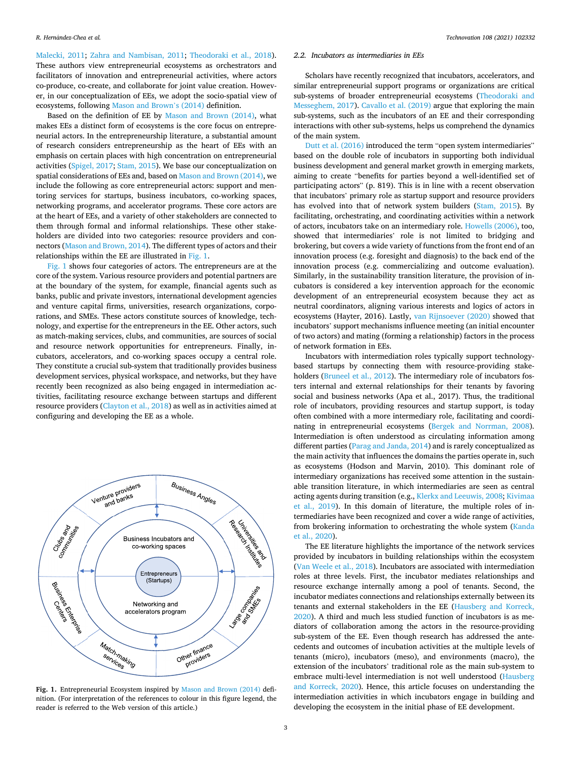[Malecki, 2011;](#page-13-0) [Zahra and Nambisan, 2011;](#page-14-0) [Theodoraki et al., 2018](#page-13-0)). These authors view entrepreneurial ecosystems as orchestrators and facilitators of innovation and entrepreneurial activities, where actors co-produce, co-create, and collaborate for joint value creation. However, in our conceptualization of EEs, we adopt the socio-spatial view of ecosystems, following [Mason and Brown](#page-13-0)'s (2014) definition.

Based on the definition of EE by [Mason and Brown \(2014\),](#page-13-0) what makes EEs a distinct form of ecosystems is the core focus on entrepreneurial actors. In the entrepreneurship literature, a substantial amount of research considers entrepreneurship as the heart of EEs with an emphasis on certain places with high concentration on entrepreneurial activities [\(Spigel, 2017](#page-13-0); [Stam, 2015\)](#page-13-0). We base our conceptualization on spatial considerations of EEs and, based on [Mason and Brown \(2014\),](#page-13-0) we include the following as core entrepreneurial actors: support and mentoring services for startups, business incubators, co-working spaces, networking programs, and accelerator programs. These core actors are at the heart of EEs, and a variety of other stakeholders are connected to them through formal and informal relationships. These other stakeholders are divided into two categories: resource providers and connectors ([Mason and Brown, 2014](#page-13-0)). The different types of actors and their relationships within the EE are illustrated in Fig. 1.

Fig. 1 shows four categories of actors. The entrepreneurs are at the core of the system. Various resource providers and potential partners are at the boundary of the system, for example, financial agents such as banks, public and private investors, international development agencies and venture capital firms, universities, research organizations, corporations, and SMEs. These actors constitute sources of knowledge, technology, and expertise for the entrepreneurs in the EE. Other actors, such as match-making services, clubs, and communities, are sources of social and resource network opportunities for entrepreneurs. Finally, incubators, accelerators, and co-working spaces occupy a central role. They constitute a crucial sub-system that traditionally provides business development services, physical workspace, and networks, but they have recently been recognized as also being engaged in intermediation activities, facilitating resource exchange between startups and different resource providers [\(Clayton et al., 2018\)](#page-13-0) as well as in activities aimed at configuring and developing the EE as a whole.



**Fig. 1.** Entrepreneurial Ecosystem inspired by [Mason and Brown \(2014\)](#page-13-0) definition. (For interpretation of the references to colour in this figure legend, the reader is referred to the Web version of this article.)

# *2.2. Incubators as intermediaries in EEs*

Scholars have recently recognized that incubators, accelerators, and similar entrepreneurial support programs or organizations are critical sub-systems of broader entrepreneurial ecosystems [\(Theodoraki and](#page-13-0)  [Messeghem, 2017\)](#page-13-0). [Cavallo et al. \(2019\)](#page-13-0) argue that exploring the main sub-systems, such as the incubators of an EE and their corresponding interactions with other sub-systems, helps us comprehend the dynamics of the main system.

[Dutt et al. \(2016\)](#page-13-0) introduced the term "open system intermediaries" based on the double role of incubators in supporting both individual business development and general market growth in emerging markets, aiming to create "benefits for parties beyond a well-identified set of participating actors" (p. 819). This is in line with a recent observation that incubators' primary role as startup support and resource providers has evolved into that of network system builders [\(Stam, 2015](#page-13-0)). By facilitating, orchestrating, and coordinating activities within a network of actors, incubators take on an intermediary role. [Howells \(2006\),](#page-13-0) too, showed that intermediaries' role is not limited to bridging and brokering, but covers a wide variety of functions from the front end of an innovation process (e.g. foresight and diagnosis) to the back end of the innovation process (e.g. commercializing and outcome evaluation). Similarly, in the sustainability transition literature, the provision of incubators is considered a key intervention approach for the economic development of an entrepreneurial ecosystem because they act as neutral coordinators, aligning various interests and logics of actors in ecosystems (Hayter, 2016). Lastly, [van Rijnsoever \(2020\)](#page-13-0) showed that incubators' support mechanisms influence meeting (an initial encounter of two actors) and mating (forming a relationship) factors in the process of network formation in EEs.

Incubators with intermediation roles typically support technologybased startups by connecting them with resource-providing stake-holders [\(Bruneel et al., 2012](#page-13-0)). The intermediary role of incubators fosters internal and external relationships for their tenants by favoring social and business networks (Apa et al., 2017). Thus, the traditional role of incubators, providing resources and startup support, is today often combined with a more intermediary role, facilitating and coordinating in entrepreneurial ecosystems [\(Bergek and Norrman, 2008](#page-13-0)). Intermediation is often understood as circulating information among different parties [\(Parag and Janda, 2014\)](#page-13-0) and is rarely conceptualized as the main activity that influences the domains the parties operate in, such as ecosystems (Hodson and Marvin, 2010). This dominant role of intermediary organizations has received some attention in the sustainable transition literature, in which intermediaries are seen as central acting agents during transition (e.g., [Klerkx and Leeuwis, 2008; Kivimaa](#page-13-0)  [et al., 2019\)](#page-13-0). In this domain of literature, the multiple roles of intermediaries have been recognized and cover a wide range of activities, from brokering information to orchestrating the whole system [\(Kanda](#page-13-0)  [et al., 2020\)](#page-13-0).

The EE literature highlights the importance of the network services provided by incubators in building relationships within the ecosystem ([Van Weele et al., 2018](#page-13-0)). Incubators are associated with intermediation roles at three levels. First, the incubator mediates relationships and resource exchange internally among a pool of tenants. Second, the incubator mediates connections and relationships externally between its tenants and external stakeholders in the EE [\(Hausberg and Korreck,](#page-13-0)  [2020\)](#page-13-0). A third and much less studied function of incubators is as mediators of collaboration among the actors in the resource-providing sub-system of the EE. Even though research has addressed the antecedents and outcomes of incubation activities at the multiple levels of tenants (micro), incubators (meso), and environments (macro), the extension of the incubators' traditional role as the main sub-system to embrace multi-level intermediation is not well understood [\(Hausberg](#page-13-0)  [and Korreck, 2020\)](#page-13-0). Hence, this article focuses on understanding the intermediation activities in which incubators engage in building and developing the ecosystem in the initial phase of EE development.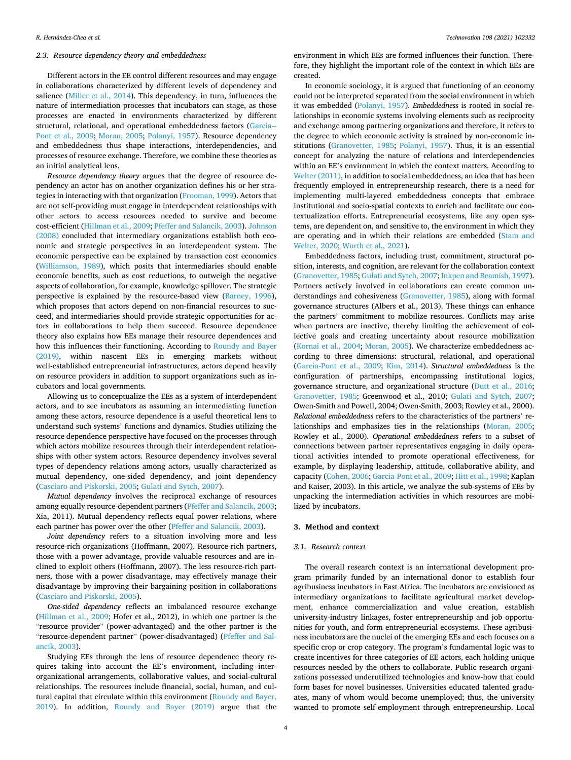# *2.3. Resource dependency theory and embeddedness*

Different actors in the EE control different resources and may engage in collaborations characterized by different levels of dependency and salience [\(Miller et al., 2014](#page-13-0)). This dependency, in turn, influences the nature of intermediation processes that incubators can stage, as those processes are enacted in environments characterized by different structural, relational, and operational embeddedness factors ([Garcia--](#page-13-0)[Pont et al., 2009;](#page-13-0) [Moran, 2005](#page-13-0); [Polanyi, 1957\)](#page-13-0). Resource dependency and embeddedness thus shape interactions, interdependencies, and processes of resource exchange. Therefore, we combine these theories as an initial analytical lens.

*Resource dependency theory* argues that the degree of resource dependency an actor has on another organization defines his or her strategies in interacting with that organization [\(Frooman, 1999\)](#page-13-0). Actors that are not self-providing must engage in interdependent relationships with other actors to access resources needed to survive and become cost-efficient ([Hillman et al., 2009; Pfeffer and Salancik, 2003](#page-13-0)). [Johnson](#page-13-0)  [\(2008\)](#page-13-0) concluded that intermediary organizations establish both economic and strategic perspectives in an interdependent system. The economic perspective can be explained by transaction cost economics ([Williamson, 1989\)](#page-13-0), which posits that intermediaries should enable economic benefits, such as cost reductions, to outweigh the negative aspects of collaboration, for example, knowledge spillover. The strategic perspective is explained by the resource-based view ([Barney, 1996](#page-12-0)), which proposes that actors depend on non-financial resources to succeed, and intermediaries should provide strategic opportunities for actors in collaborations to help them succeed. Resource dependence theory also explains how EEs manage their resource dependences and how this influences their functioning. According to [Roundy and Bayer](#page-13-0)  [\(2019\),](#page-13-0) within nascent EEs in emerging markets without well-established entrepreneurial infrastructures, actors depend heavily on resource providers in addition to support organizations such as incubators and local governments.

Allowing us to conceptualize the EEs as a system of interdependent actors, and to see incubators as assuming an intermediating function among these actors, resource dependence is a useful theoretical lens to understand such systems' functions and dynamics. Studies utilizing the resource dependence perspective have focused on the processes through which actors mobilize resources through their interdependent relationships with other system actors. Resource dependency involves several types of dependency relations among actors, usually characterized as mutual dependency, one-sided dependency, and joint dependency ([Casciaro and Piskorski, 2005; Gulati and Sytch, 2007\)](#page-13-0).

*Mutual dependency* involves the reciprocal exchange of resources among equally resource-dependent partners [\(Pfeffer and Salancik, 2003](#page-13-0); Xia, 2011). Mutual dependency reflects equal power relations, where each partner has power over the other ([Pfeffer and Salancik, 2003](#page-13-0)).

*Joint dependency* refers to a situation involving more and less resource-rich organizations (Hoffmann, 2007). Resource-rich partners, those with a power advantage, provide valuable resources and are inclined to exploit others (Hoffmann, 2007). The less resource-rich partners, those with a power disadvantage, may effectively manage their disadvantage by improving their bargaining position in collaborations ([Casciaro and Piskorski, 2005\)](#page-13-0).

*One-sided dependency* reflects an imbalanced resource exchange ([Hillman et al., 2009](#page-13-0); Hofer et al., 2012), in which one partner is the "resource provider" (power-advantaged) and the other partner is the "resource-dependent partner" (power-disadvantaged) [\(Pfeffer and Sal](#page-13-0)[ancik, 2003](#page-13-0)).

Studying EEs through the lens of resource dependence theory requires taking into account the EE's environment, including interorganizational arrangements, collaborative values, and social-cultural relationships. The resources include financial, social, human, and cultural capital that circulate within this environment ([Roundy and Bayer,](#page-13-0)  [2019\)](#page-13-0). In addition, [Roundy and Bayer \(2019\)](#page-13-0) argue that the

environment in which EEs are formed influences their function. Therefore, they highlight the important role of the context in which EEs are created.

In economic sociology, it is argued that functioning of an economy could not be interpreted separated from the social environment in which it was embedded [\(Polanyi, 1957\)](#page-13-0). *Embeddedness* is rooted in social relationships in economic systems involving elements such as reciprocity and exchange among partnering organizations and therefore, it refers to the degree to which economic activity is strained by non-economic institutions ([Granovetter, 1985](#page-13-0); [Polanyi, 1957\)](#page-13-0). Thus, it is an essential concept for analyzing the nature of relations and interdependencies within an EE's environment in which the context matters. According to [Welter \(2011\),](#page-13-0) in addition to social embeddedness, an idea that has been frequently employed in entrepreneurship research, there is a need for implementing multi-layered embeddedness concepts that embrace institutional and socio-spatial contexts to enrich and facilitate our contextualization efforts. Entrepreneurial ecosystems, like any open systems, are dependent on, and sensitive to, the environment in which they are operating and in which their relations are embedded [\(Stam and](#page-13-0)  [Welter, 2020; Wurth et al., 2021](#page-13-0)).

Embeddedness factors, including trust, commitment, structural position, interests, and cognition, are relevant for the collaboration context ([Granovetter, 1985; Gulati and Sytch, 2007](#page-13-0); [Inkpen and Beamish, 1997](#page-13-0)). Partners actively involved in collaborations can create common understandings and cohesiveness ([Granovetter, 1985\)](#page-13-0), along with formal governance structures (Albers et al., 2013). These things can enhance the partners' commitment to mobilize resources. Conflicts may arise when partners are inactive, thereby limiting the achievement of collective goals and creating uncertainty about resource mobilization ([Kornai et al., 2004](#page-13-0); [Moran, 2005\)](#page-13-0). We characterize embeddedness according to three dimensions: structural, relational, and operational ([Garcia-Pont et al., 2009;](#page-13-0) [Kim, 2014](#page-13-0)). *Structural embeddedness* is the configuration of partnerships, encompassing institutional logics, governance structure, and organizational structure ([Dutt et al., 2016](#page-13-0); [Granovetter, 1985](#page-13-0); Greenwood et al., 2010; [Gulati and Sytch, 2007](#page-13-0); Owen-Smith and Powell, 2004; Owen-Smith, 2003; Rowley et al., 2000). *Relational embeddedness* refers to the characteristics of the partners' relationships and emphasizes ties in the relationships ([Moran, 2005](#page-13-0); Rowley et al., 2000). *Operational embeddedness* refers to a subset of connections between partner representatives engaging in daily operational activities intended to promote operational effectiveness, for example, by displaying leadership, attitude, collaborative ability, and capacity ([Cohen, 2006; Garcia-Pont et al., 2009; Hitt et al., 1998](#page-13-0); Kaplan and Kaiser, 2003). In this article, we analyze the sub-systems of EEs by unpacking the intermediation activities in which resources are mobilized by incubators.

# **3. Method and context**

### *3.1. Research context*

The overall research context is an international development program primarily funded by an international donor to establish four agribusiness incubators in East Africa. The incubators are envisioned as intermediary organizations to facilitate agricultural market development, enhance commercialization and value creation, establish university-industry linkages, foster entrepreneurship and job opportunities for youth, and form entrepreneurial ecosystems. These agribusiness incubators are the nuclei of the emerging EEs and each focuses on a specific crop or crop category. The program's fundamental logic was to create incentives for three categories of EE actors, each holding unique resources needed by the others to collaborate. Public research organizations possessed underutilized technologies and know-how that could form bases for novel businesses. Universities educated talented graduates, many of whom would become unemployed; thus, the university wanted to promote self-employment through entrepreneurship. Local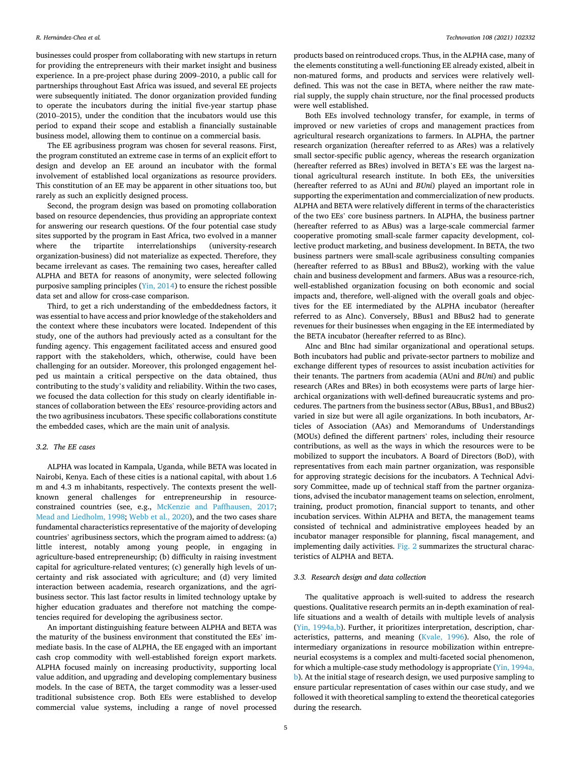businesses could prosper from collaborating with new startups in return for providing the entrepreneurs with their market insight and business experience. In a pre-project phase during 2009–2010, a public call for partnerships throughout East Africa was issued, and several EE projects were subsequently initiated. The donor organization provided funding to operate the incubators during the initial five-year startup phase (2010–2015), under the condition that the incubators would use this period to expand their scope and establish a financially sustainable business model, allowing them to continue on a commercial basis.

The EE agribusiness program was chosen for several reasons. First, the program constituted an extreme case in terms of an explicit effort to design and develop an EE around an incubator with the formal involvement of established local organizations as resource providers. This constitution of an EE may be apparent in other situations too, but rarely as such an explicitly designed process.

Second, the program design was based on promoting collaboration based on resource dependencies, thus providing an appropriate context for answering our research questions. Of the four potential case study sites supported by the program in East Africa, two evolved in a manner where the tripartite interrelationships (university-research organization-business) did not materialize as expected. Therefore, they became irrelevant as cases. The remaining two cases, hereafter called ALPHA and BETA for reasons of anonymity, were selected following purposive sampling principles ([Yin, 2014](#page-14-0)) to ensure the richest possible data set and allow for cross-case comparison.

Third, to get a rich understanding of the embeddedness factors, it was essential to have access and prior knowledge of the stakeholders and the context where these incubators were located. Independent of this study, one of the authors had previously acted as a consultant for the funding agency. This engagement facilitated access and ensured good rapport with the stakeholders, which, otherwise, could have been challenging for an outsider. Moreover, this prolonged engagement helped us maintain a critical perspective on the data obtained, thus contributing to the study's validity and reliability. Within the two cases, we focused the data collection for this study on clearly identifiable instances of collaboration between the EEs' resource-providing actors and the two agribusiness incubators. These specific collaborations constitute the embedded cases, which are the main unit of analysis.

# *3.2. The EE cases*

ALPHA was located in Kampala, Uganda, while BETA was located in Nairobi, Kenya. Each of these cities is a national capital, with about 1.6 m and 4.3 m inhabitants, respectively. The contexts present the wellknown general challenges for entrepreneurship in resourceconstrained countries (see, e.g., [McKenzie and Paffhausen, 2017](#page-13-0); [Mead and Liedholm, 1998](#page-13-0); [Webb et al., 2020](#page-13-0)), and the two cases share fundamental characteristics representative of the majority of developing countries' agribusiness sectors, which the program aimed to address: (a) little interest, notably among young people, in engaging in agriculture-based entrepreneurship; (b) difficulty in raising investment capital for agriculture-related ventures; (c) generally high levels of uncertainty and risk associated with agriculture; and (d) very limited interaction between academia, research organizations, and the agribusiness sector. This last factor results in limited technology uptake by higher education graduates and therefore not matching the competencies required for developing the agribusiness sector.

An important distinguishing feature between ALPHA and BETA was the maturity of the business environment that constituted the EEs' immediate basis. In the case of ALPHA, the EE engaged with an important cash crop commodity with well-established foreign export markets. ALPHA focused mainly on increasing productivity, supporting local value addition, and upgrading and developing complementary business models. In the case of BETA, the target commodity was a lesser-used traditional subsistence crop. Both EEs were established to develop commercial value systems, including a range of novel processed

products based on reintroduced crops. Thus, in the ALPHA case, many of the elements constituting a well-functioning EE already existed, albeit in non-matured forms, and products and services were relatively welldefined. This was not the case in BETA, where neither the raw material supply, the supply chain structure, nor the final processed products were well established.

Both EEs involved technology transfer, for example, in terms of improved or new varieties of crops and management practices from agricultural research organizations to farmers. In ALPHA, the partner research organization (hereafter referred to as ARes) was a relatively small sector-specific public agency, whereas the research organization (hereafter referred as BRes) involved in BETA's EE was the largest national agricultural research institute. In both EEs, the universities (hereafter referred to as AUni and *BUni*) played an important role in supporting the experimentation and commercialization of new products. ALPHA and BETA were relatively different in terms of the characteristics of the two EEs' core business partners. In ALPHA, the business partner (hereafter referred to as ABus) was a large-scale commercial farmer cooperative promoting small-scale farmer capacity development, collective product marketing, and business development. In BETA, the two business partners were small-scale agribusiness consulting companies (hereafter referred to as BBus1 and BBus2), working with the value chain and business development and farmers. ABus was a resource-rich, well-established organization focusing on both economic and social impacts and, therefore, well-aligned with the overall goals and objectives for the EE intermediated by the ALPHA incubator (hereafter referred to as AInc). Conversely, BBus1 and BBus2 had to generate revenues for their businesses when engaging in the EE intermediated by the BETA incubator (hereafter referred to as BInc).

AInc and BInc had similar organizational and operational setups. Both incubators had public and private-sector partners to mobilize and exchange different types of resources to assist incubation activities for their tenants. The partners from academia (AUni and *BUni*) and public research (ARes and BRes) in both ecosystems were parts of large hierarchical organizations with well-defined bureaucratic systems and procedures. The partners from the business sector (ABus, BBus1, and BBus2) varied in size but were all agile organizations. In both incubators, Articles of Association (AAs) and Memorandums of Understandings (MOUs) defined the different partners' roles, including their resource contributions, as well as the ways in which the resources were to be mobilized to support the incubators. A Board of Directors (BoD), with representatives from each main partner organization, was responsible for approving strategic decisions for the incubators. A Technical Advisory Committee, made up of technical staff from the partner organizations, advised the incubator management teams on selection, enrolment, training, product promotion, financial support to tenants, and other incubation services. Within ALPHA and BETA, the management teams consisted of technical and administrative employees headed by an incubator manager responsible for planning, fiscal management, and implementing daily activities. [Fig. 2](#page-5-0) summarizes the structural characteristics of ALPHA and BETA.

# *3.3. Research design and data collection*

The qualitative approach is well-suited to address the research questions. Qualitative research permits an in-depth examination of reallife situations and a wealth of details with multiple levels of analysis ([Yin, 1994a,b](#page-13-0)). Further, it prioritizes interpretation, description, characteristics, patterns, and meaning ([Kvale, 1996](#page-13-0)). Also, the role of intermediary organizations in resource mobilization within entrepreneurial ecosystems is a complex and multi-faceted social phenomenon, for which a multiple-case study methodology is appropriate ([Yin, 1994a,](#page-13-0)  [b](#page-13-0)). At the initial stage of research design, we used purposive sampling to ensure particular representation of cases within our case study, and we followed it with theoretical sampling to extend the theoretical categories during the research.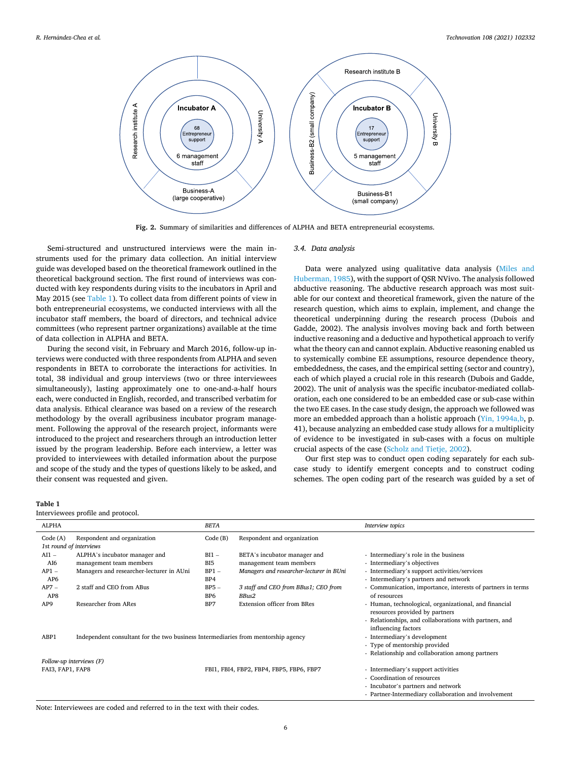<span id="page-5-0"></span>

**Fig. 2.** Summary of similarities and differences of ALPHA and BETA entrepreneurial ecosystems.

Semi-structured and unstructured interviews were the main instruments used for the primary data collection. An initial interview guide was developed based on the theoretical framework outlined in the theoretical background section. The first round of interviews was conducted with key respondents during visits to the incubators in April and May 2015 (see Table 1). To collect data from different points of view in both entrepreneurial ecosystems, we conducted interviews with all the incubator staff members, the board of directors, and technical advice committees (who represent partner organizations) available at the time of data collection in ALPHA and BETA.

During the second visit, in February and March 2016, follow-up interviews were conducted with three respondents from ALPHA and seven respondents in BETA to corroborate the interactions for activities. In total, 38 individual and group interviews (two or three interviewees simultaneously), lasting approximately one to one-and-a-half hours each, were conducted in English, recorded, and transcribed verbatim for data analysis. Ethical clearance was based on a review of the research methodology by the overall agribusiness incubator program management. Following the approval of the research project, informants were introduced to the project and researchers through an introduction letter issued by the program leadership. Before each interview, a letter was provided to interviewees with detailed information about the purpose and scope of the study and the types of questions likely to be asked, and their consent was requested and given.

### **Table 1**

Interviewees profile and protocol.

## *3.4. Data analysis*

Data were analyzed using qualitative data analysis ([Miles and](#page-13-0)  [Huberman, 1985\)](#page-13-0), with the support of QSR NVivo. The analysis followed abductive reasoning. The abductive research approach was most suitable for our context and theoretical framework, given the nature of the research question, which aims to explain, implement, and change the theoretical underpinning during the research process (Dubois and Gadde, 2002). The analysis involves moving back and forth between inductive reasoning and a deductive and hypothetical approach to verify what the theory can and cannot explain. Abductive reasoning enabled us to systemically combine EE assumptions, resource dependence theory, embeddedness, the cases, and the empirical setting (sector and country), each of which played a crucial role in this research (Dubois and Gadde, 2002). The unit of analysis was the specific incubator-mediated collaboration, each one considered to be an embedded case or sub-case within the two EE cases. In the case study design, the approach we followed was more an embedded approach than a holistic approach (Yin, 1994a, b, p. 41), because analyzing an embedded case study allows for a multiplicity of evidence to be investigated in sub-cases with a focus on multiple crucial aspects of the case ([Scholz and Tietje, 2002\)](#page-13-0).

Our first step was to conduct open coding separately for each subcase study to identify emergent concepts and to construct coding schemes. The open coding part of the research was guided by a set of

| <b>ALPHA</b>             |                                                                                   | <b>BETA</b>                               |                                          | Interview topics                                                                                                                                  |  |  |  |
|--------------------------|-----------------------------------------------------------------------------------|-------------------------------------------|------------------------------------------|---------------------------------------------------------------------------------------------------------------------------------------------------|--|--|--|
| Code (A)                 | Respondent and organization                                                       | Code(B)                                   | Respondent and organization              |                                                                                                                                                   |  |  |  |
|                          | 1st round of interviews                                                           |                                           |                                          |                                                                                                                                                   |  |  |  |
| $AI1 -$                  | ALPHA's incubator manager and                                                     | $BI1 -$                                   | BETA's incubator manager and             | - Intermediary's role in the business                                                                                                             |  |  |  |
| AI6                      | management team members                                                           | B <sub>I5</sub>                           | management team members                  | - Intermediary's objectives                                                                                                                       |  |  |  |
| $AP1 -$                  | Managers and researcher-lecturer in AUni                                          | $BP1 -$                                   | Managers and researcher-lecturer in BUni | - Intermediary's support activities/services                                                                                                      |  |  |  |
| AP <sub>6</sub>          |                                                                                   | BP4                                       |                                          | - Intermediary's partners and network                                                                                                             |  |  |  |
| $AP7-$                   | 2 staff and CEO from ABus                                                         | $BP5 -$                                   | 3 staff and CEO from BBus1; CEO from     | - Communication, importance, interests of partners in terms                                                                                       |  |  |  |
| AP8                      |                                                                                   | BP <sub>6</sub>                           | BBus2                                    | of resources                                                                                                                                      |  |  |  |
| AP <sub>9</sub>          | Researcher from ARes                                                              | <b>Extension officer from BRes</b><br>BP7 |                                          | - Human, technological, organizational, and financial<br>resources provided by partners<br>- Relationships, and collaborations with partners, and |  |  |  |
|                          |                                                                                   |                                           |                                          |                                                                                                                                                   |  |  |  |
|                          |                                                                                   |                                           |                                          | influencing factors                                                                                                                               |  |  |  |
| ABP1                     | Independent consultant for the two business Intermediaries from mentorship agency |                                           |                                          | - Intermediary's development                                                                                                                      |  |  |  |
|                          |                                                                                   |                                           |                                          | - Type of mentorship provided                                                                                                                     |  |  |  |
|                          |                                                                                   |                                           |                                          | - Relationship and collaboration among partners                                                                                                   |  |  |  |
| Follow-up interviews (F) |                                                                                   |                                           |                                          |                                                                                                                                                   |  |  |  |
| FAI3, FAP1, FAP8         |                                                                                   | FBI1, FBI4, FBP2, FBP4, FBP5, FBP6, FBP7  |                                          | - Intermediary's support activities                                                                                                               |  |  |  |
|                          |                                                                                   |                                           |                                          | - Coordination of resources                                                                                                                       |  |  |  |
|                          |                                                                                   |                                           |                                          | - Incubator's partners and network                                                                                                                |  |  |  |
|                          |                                                                                   |                                           |                                          | - Partner-Intermediary collaboration and involvement                                                                                              |  |  |  |

Note: Interviewees are coded and referred to in the text with their codes.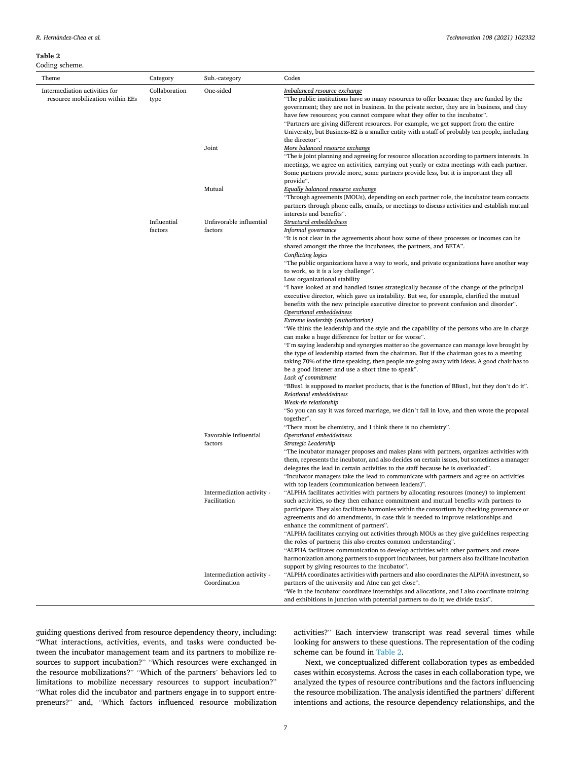$R.$  *Hernández-Chea et al.* 

# **Table 2**

Coding scheme.

| Theme                                                             | Category               | Sub.-category                             | Codes                                                                                                                                                                                                                                                                                                                                                                                                                                                                                                                                                                                                                                                                                                                                                                                                                                                                                                                                                                                                         |  |  |  |
|-------------------------------------------------------------------|------------------------|-------------------------------------------|---------------------------------------------------------------------------------------------------------------------------------------------------------------------------------------------------------------------------------------------------------------------------------------------------------------------------------------------------------------------------------------------------------------------------------------------------------------------------------------------------------------------------------------------------------------------------------------------------------------------------------------------------------------------------------------------------------------------------------------------------------------------------------------------------------------------------------------------------------------------------------------------------------------------------------------------------------------------------------------------------------------|--|--|--|
| Intermediation activities for<br>resource mobilization within EEs | Collaboration<br>type  | One-sided                                 | Imbalanced resource exchange<br>"The public institutions have so many resources to offer because they are funded by the<br>government; they are not in business. In the private sector, they are in business, and they<br>have few resources; you cannot compare what they offer to the incubator".<br>"Partners are giving different resources. For example, we get support from the entire<br>University, but Business-B2 is a smaller entity with a staff of probably ten people, including<br>the director".                                                                                                                                                                                                                                                                                                                                                                                                                                                                                              |  |  |  |
|                                                                   |                        | Joint                                     | More balanced resource exchange<br>"The is joint planning and agreeing for resource allocation according to partners interests. In<br>meetings, we agree on activities, carrying out yearly or extra meetings with each partner.<br>Some partners provide more, some partners provide less, but it is important they all                                                                                                                                                                                                                                                                                                                                                                                                                                                                                                                                                                                                                                                                                      |  |  |  |
|                                                                   |                        | Mutual                                    | provide".<br>Equally balanced resource exchange<br>"Through agreements (MOUs), depending on each partner role, the incubator team contacts<br>partners through phone calls, emails, or meetings to discuss activities and establish mutual<br>interests and benefits".                                                                                                                                                                                                                                                                                                                                                                                                                                                                                                                                                                                                                                                                                                                                        |  |  |  |
|                                                                   | Influential<br>factors | Unfavorable influential<br>factors        | Structural embeddedness<br>Informal governance<br>"It is not clear in the agreements about how some of these processes or incomes can be<br>shared amongst the three the incubatees, the partners, and BETA".<br>Conflicting logics<br>"The public organizations have a way to work, and private organizations have another way<br>to work, so it is a key challenge".<br>Low organizational stability<br>"I have looked at and handled issues strategically because of the change of the principal<br>executive director, which gave us instability. But we, for example, clarified the mutual<br>benefits with the new principle executive director to prevent confusion and disorder".<br>Operational embeddedness<br>Extreme leadership (authoritarian)<br>"We think the leadership and the style and the capability of the persons who are in charge<br>can make a huge difference for better or for worse".<br>"I'm saying leadership and synergies matter so the governance can manage love brought by |  |  |  |
|                                                                   |                        |                                           | the type of leadership started from the chairman. But if the chairman goes to a meeting<br>taking 70% of the time speaking, then people are going away with ideas. A good chair has to<br>be a good listener and use a short time to speak".<br>Lack of commitment<br>"BBus1 is supposed to market products, that is the function of BBus1, but they don't do it".<br>Relational embeddedness<br>Weak-tie relationship<br>"So you can say it was forced marriage, we didn't fall in love, and then wrote the proposal<br>together".                                                                                                                                                                                                                                                                                                                                                                                                                                                                           |  |  |  |
|                                                                   |                        | Favorable influential<br>factors          | "There must be chemistry, and I think there is no chemistry".<br>Operational embeddedness<br>Strategic Leadership<br>"The incubator manager proposes and makes plans with partners, organizes activities with<br>them, represents the incubator, and also decides on certain issues, but sometimes a manager<br>delegates the lead in certain activities to the staff because he is overloaded".<br>"Incubator managers take the lead to communicate with partners and agree on activities<br>with top leaders (communication between leaders)".                                                                                                                                                                                                                                                                                                                                                                                                                                                              |  |  |  |
|                                                                   |                        | Intermediation activity -<br>Facilitation | "ALPHA facilitates activities with partners by allocating resources (money) to implement<br>such activities, so they then enhance commitment and mutual benefits with partners to<br>participate. They also facilitate harmonies within the consortium by checking governance or<br>agreements and do amendments, in case this is needed to improve relationships and<br>enhance the commitment of partners".<br>"ALPHA facilitates carrying out activities through MOUs as they give guidelines respecting<br>the roles of partners; this also creates common understanding".<br>"ALPHA facilitates communication to develop activities with other partners and create<br>harmonization among partners to support incubatees, but partners also facilitate incubation<br>support by giving resources to the incubator".                                                                                                                                                                                      |  |  |  |
|                                                                   |                        | Intermediation activity -<br>Coordination | "ALPHA coordinates activities with partners and also coordinates the ALPHA investment, so<br>partners of the university and AInc can get close".<br>"We in the incubator coordinate internships and allocations, and I also coordinate training<br>and exhibitions in junction with potential partners to do it; we divide tasks".                                                                                                                                                                                                                                                                                                                                                                                                                                                                                                                                                                                                                                                                            |  |  |  |

guiding questions derived from resource dependency theory, including: "What interactions, activities, events, and tasks were conducted between the incubator management team and its partners to mobilize resources to support incubation?" "Which resources were exchanged in the resource mobilizations?" "Which of the partners' behaviors led to limitations to mobilize necessary resources to support incubation?" "What roles did the incubator and partners engage in to support entrepreneurs?" and, "Which factors influenced resource mobilization activities?" Each interview transcript was read several times while looking for answers to these questions. The representation of the coding scheme can be found in Table 2.

Next, we conceptualized different collaboration types as embedded cases within ecosystems. Across the cases in each collaboration type, we analyzed the types of resource contributions and the factors influencing the resource mobilization. The analysis identified the partners' different intentions and actions, the resource dependency relationships, and the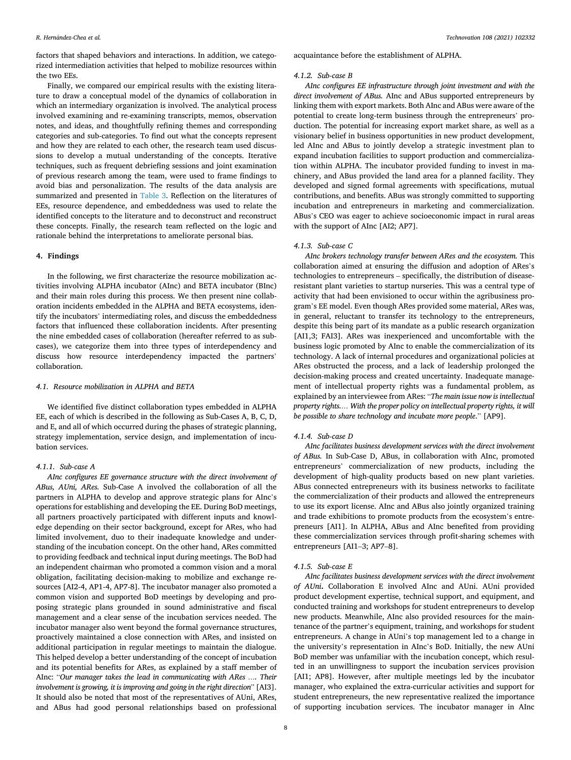factors that shaped behaviors and interactions. In addition, we categorized intermediation activities that helped to mobilize resources within the two EEs.

Finally, we compared our empirical results with the existing literature to draw a conceptual model of the dynamics of collaboration in which an intermediary organization is involved. The analytical process involved examining and re-examining transcripts, memos, observation notes, and ideas, and thoughtfully refining themes and corresponding categories and sub-categories. To find out what the concepts represent and how they are related to each other, the research team used discussions to develop a mutual understanding of the concepts. Iterative techniques, such as frequent debriefing sessions and joint examination of previous research among the team, were used to frame findings to avoid bias and personalization. The results of the data analysis are summarized and presented in [Table 3](#page-8-0). Reflection on the literatures of EEs, resource dependence, and embeddedness was used to relate the identified concepts to the literature and to deconstruct and reconstruct these concepts. Finally, the research team reflected on the logic and rationale behind the interpretations to ameliorate personal bias.

## **4. Findings**

In the following, we first characterize the resource mobilization activities involving ALPHA incubator (AInc) and BETA incubator (BInc) and their main roles during this process. We then present nine collaboration incidents embedded in the ALPHA and BETA ecosystems, identify the incubators' intermediating roles, and discuss the embeddedness factors that influenced these collaboration incidents. After presenting the nine embedded cases of collaboration (hereafter referred to as subcases), we categorize them into three types of interdependency and discuss how resource interdependency impacted the partners' collaboration.

## *4.1. Resource mobilization in ALPHA and BETA*

We identified five distinct collaboration types embedded in ALPHA EE, each of which is described in the following as Sub-Cases A, B, C, D, and E, and all of which occurred during the phases of strategic planning, strategy implementation, service design, and implementation of incubation services.

# *4.1.1. Sub-case A*

*AInc configures EE governance structure with the direct involvement of ABus, AUni, ARes.* Sub-Case A involved the collaboration of all the partners in ALPHA to develop and approve strategic plans for AInc's operations for establishing and developing the EE. During BoD meetings, all partners proactively participated with different inputs and knowledge depending on their sector background, except for ARes, who had limited involvement, duo to their inadequate knowledge and understanding of the incubation concept. On the other hand, ARes committed to providing feedback and technical input during meetings. The BoD had an independent chairman who promoted a common vision and a moral obligation, facilitating decision-making to mobilize and exchange resources [AI2-4, AP1-4, AP7-8]. The incubator manager also promoted a common vision and supported BoD meetings by developing and proposing strategic plans grounded in sound administrative and fiscal management and a clear sense of the incubation services needed. The incubator manager also went beyond the formal governance structures, proactively maintained a close connection with ARes, and insisted on additional participation in regular meetings to maintain the dialogue. This helped develop a better understanding of the concept of incubation and its potential benefits for ARes, as explained by a staff member of AInc: "*Our manager takes the lead in communicating with ARes …. Their involvement is growing, it is improving and going in the right direction*" [AI3]. It should also be noted that most of the representatives of AUni, ARes, and ABus had good personal relationships based on professional

acquaintance before the establishment of ALPHA.

#### *4.1.2. Sub-case B*

*AInc configures EE infrastructure through joint investment and with the direct involvement of ABus.* AInc and ABus supported entrepreneurs by linking them with export markets. Both AInc and ABus were aware of the potential to create long-term business through the entrepreneurs' production. The potential for increasing export market share, as well as a visionary belief in business opportunities in new product development, led AInc and ABus to jointly develop a strategic investment plan to expand incubation facilities to support production and commercialization within ALPHA. The incubator provided funding to invest in machinery, and ABus provided the land area for a planned facility. They developed and signed formal agreements with specifications, mutual contributions, and benefits. ABus was strongly committed to supporting incubation and entrepreneurs in marketing and commercialization. ABus's CEO was eager to achieve socioeconomic impact in rural areas with the support of AInc [AI2; AP7].

## *4.1.3. Sub-case C*

*AInc brokers technology transfer between ARes and the ecosystem.* This collaboration aimed at ensuring the diffusion and adoption of ARes's technologies to entrepreneurs – specifically, the distribution of diseaseresistant plant varieties to startup nurseries. This was a central type of activity that had been envisioned to occur within the agribusiness program's EE model. Even though ARes provided some material, ARes was, in general, reluctant to transfer its technology to the entrepreneurs, despite this being part of its mandate as a public research organization [AI1,3; FAI3]. ARes was inexperienced and uncomfortable with the business logic promoted by AInc to enable the commercialization of its technology. A lack of internal procedures and organizational policies at ARes obstructed the process, and a lack of leadership prolonged the decision-making process and created uncertainty. Inadequate management of intellectual property rights was a fundamental problem, as explained by an interviewee from ARes: "*The main issue now is intellectual property rights.… With the proper policy on intellectual property rights, it will be possible to share technology and incubate more people*." [AP9].

## *4.1.4. Sub-case D*

*AInc facilitates business development services with the direct involvement of ABus.* In Sub-Case D, ABus, in collaboration with AInc, promoted entrepreneurs' commercialization of new products, including the development of high-quality products based on new plant varieties. ABus connected entrepreneurs with its business networks to facilitate the commercialization of their products and allowed the entrepreneurs to use its export license. AInc and ABus also jointly organized training and trade exhibitions to promote products from the ecosystem's entrepreneurs [AI1]. In ALPHA, ABus and AInc benefited from providing these commercialization services through profit-sharing schemes with entrepreneurs [AI1–3; AP7–8].

## *4.1.5. Sub-case E*

*AInc facilitates business development services with the direct involvement of AUni***.** Collaboration E involved AInc and AUni. AUni provided product development expertise, technical support, and equipment, and conducted training and workshops for student entrepreneurs to develop new products. Meanwhile, AInc also provided resources for the maintenance of the partner's equipment, training, and workshops for student entrepreneurs. A change in AUni's top management led to a change in the university's representation in AInc's BoD. Initially, the new AUni BoD member was unfamiliar with the incubation concept, which resulted in an unwillingness to support the incubation services provision [AI1; AP8]. However, after multiple meetings led by the incubator manager, who explained the extra-curricular activities and support for student entrepreneurs, the new representative realized the importance of supporting incubation services. The incubator manager in AInc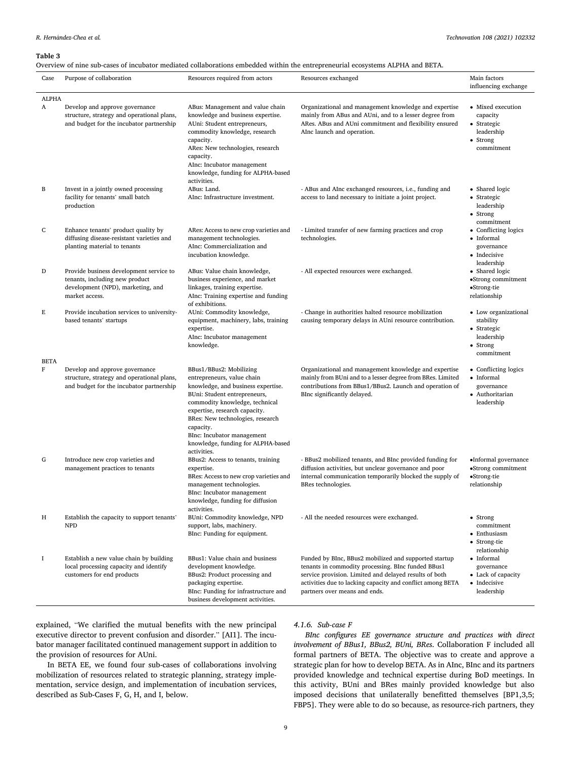#### <span id="page-8-0"></span>**Table 3**

Overview of nine sub-cases of incubator mediated collaborations embedded within the entrepreneurial ecosystems ALPHA and BETA.

| Case              | Purpose of collaboration                                                                                                         | Resources required from actors                                                                                                                                                                                                                                                                                                     | Resources exchanged                                                                                                                                                                                                                                                  | Main factors<br>influencing exchange                                                     |
|-------------------|----------------------------------------------------------------------------------------------------------------------------------|------------------------------------------------------------------------------------------------------------------------------------------------------------------------------------------------------------------------------------------------------------------------------------------------------------------------------------|----------------------------------------------------------------------------------------------------------------------------------------------------------------------------------------------------------------------------------------------------------------------|------------------------------------------------------------------------------------------|
| <b>ALPHA</b><br>A | Develop and approve governance<br>structure, strategy and operational plans,<br>and budget for the incubator partnership         | ABus: Management and value chain<br>knowledge and business expertise.<br>AUni: Student entrepreneurs,<br>commodity knowledge, research<br>capacity.<br>ARes: New technologies, research<br>capacity.<br>AInc: Incubator management<br>knowledge, funding for ALPHA-based<br>activities.                                            | Organizational and management knowledge and expertise<br>mainly from ABus and AUni, and to a lesser degree from<br>ARes. ABus and AUni commitment and flexibility ensured<br>AInc launch and operation.                                                              | • Mixed execution<br>capacity<br>• Strategic<br>leadership<br>• Strong<br>commitment     |
| B                 | Invest in a jointly owned processing<br>facility for tenants' small batch<br>production                                          | ABus: Land.<br>AInc: Infrastructure investment.                                                                                                                                                                                                                                                                                    | - ABus and AInc exchanged resources, i.e., funding and<br>access to land necessary to initiate a joint project.                                                                                                                                                      | • Shared logic<br>• Strategic<br>leadership<br>• Strong<br>commitment                    |
| C                 | Enhance tenants' product quality by<br>diffusing disease-resistant varieties and<br>planting material to tenants                 | ARes: Access to new crop varieties and<br>management technologies.<br>AInc: Commercialization and<br>incubation knowledge.                                                                                                                                                                                                         | - Limited transfer of new farming practices and crop<br>technologies.                                                                                                                                                                                                | • Conflicting logics<br>• Informal<br>governance<br>• Indecisive<br>leadership           |
| D                 | Provide business development service to<br>tenants, including new product<br>development (NPD), marketing, and<br>market access. | ABus: Value chain knowledge,<br>business experience, and market<br>linkages, training expertise.<br>AInc: Training expertise and funding<br>of exhibitions.                                                                                                                                                                        | - All expected resources were exchanged.                                                                                                                                                                                                                             | • Shared logic<br>•Strong commitment<br>•Strong-tie<br>relationship                      |
| E<br><b>BETA</b>  | Provide incubation services to university-<br>based tenants' startups                                                            | AUni: Commodity knowledge,<br>equipment, machinery, labs, training<br>expertise.<br>AInc: Incubator management<br>knowledge.                                                                                                                                                                                                       | - Change in authorities halted resource mobilization<br>causing temporary delays in AUni resource contribution.                                                                                                                                                      | • Low organizational<br>stability<br>• Strategic<br>leadership<br>• Strong<br>commitment |
| F                 | Develop and approve governance<br>structure, strategy and operational plans,<br>and budget for the incubator partnership         | BBus1/BBus2: Mobilizing<br>entrepreneurs, value chain<br>knowledge, and business expertise.<br>BUni: Student entrepreneurs,<br>commodity knowledge, technical<br>expertise, research capacity.<br>BRes: New technologies, research<br>capacity.<br>BInc: Incubator management<br>knowledge, funding for ALPHA-based<br>activities. | Organizational and management knowledge and expertise<br>mainly from BUni and to a lesser degree from BRes. Limited<br>contributions from BBus1/BBus2. Launch and operation of<br>BInc significantly delayed.                                                        | • Conflicting logics<br>• Informal<br>governance<br>• Authoritarian<br>leadership        |
| G                 | Introduce new crop varieties and<br>management practices to tenants                                                              | BBus2: Access to tenants, training<br>expertise.<br>BRes: Access to new crop varieties and<br>management technologies.<br>BInc: Incubator management<br>knowledge, funding for diffusion<br>activities.                                                                                                                            | - BBus2 mobilized tenants, and BInc provided funding for<br>diffusion activities, but unclear governance and poor<br>internal communication temporarily blocked the supply of<br>BRes technologies.                                                                  | •Informal governance<br>•Strong commitment<br>•Strong-tie<br>relationship                |
| Η                 | Establish the capacity to support tenants'<br><b>NPD</b>                                                                         | BUni: Commodity knowledge, NPD<br>support, labs, machinery.<br>BInc: Funding for equipment.                                                                                                                                                                                                                                        | - All the needed resources were exchanged.                                                                                                                                                                                                                           | $\bullet$ Strong<br>commitment<br>• Enthusiasm<br>• Strong-tie<br>relationship           |
| I                 | Establish a new value chain by building<br>local processing capacity and identify<br>customers for end products                  | BBus1: Value chain and business<br>development knowledge.<br>BBus2: Product processing and<br>packaging expertise.<br>BInc: Funding for infrastructure and<br>business development activities.                                                                                                                                     | Funded by BInc, BBus2 mobilized and supported startup<br>tenants in commodity processing. BInc funded BBus1<br>service provision. Limited and delayed results of both<br>activities due to lacking capacity and conflict among BETA<br>partners over means and ends. | • Informal<br>governance<br>• Lack of capacity<br>• Indecisive<br>leadership             |

explained, "We clarified the mutual benefits with the new principal executive director to prevent confusion and disorder." [AI1]. The incubator manager facilitated continued management support in addition to the provision of resources for AUni.

In BETA EE, we found four sub-cases of collaborations involving mobilization of resources related to strategic planning, strategy implementation, service design, and implementation of incubation services, described as Sub-Cases F, G, H, and I, below.

# *4.1.6. Sub-case F*

*BInc configures EE governance structure and practices with direct involvement of BBus1, BBus2, BUni, BRes*. Collaboration F included all formal partners of BETA. The objective was to create and approve a strategic plan for how to develop BETA. As in AInc, BInc and its partners provided knowledge and technical expertise during BoD meetings. In this activity, BUni and BRes mainly provided knowledge but also imposed decisions that unilaterally benefitted themselves [BP1,3,5; FBP5]. They were able to do so because, as resource-rich partners, they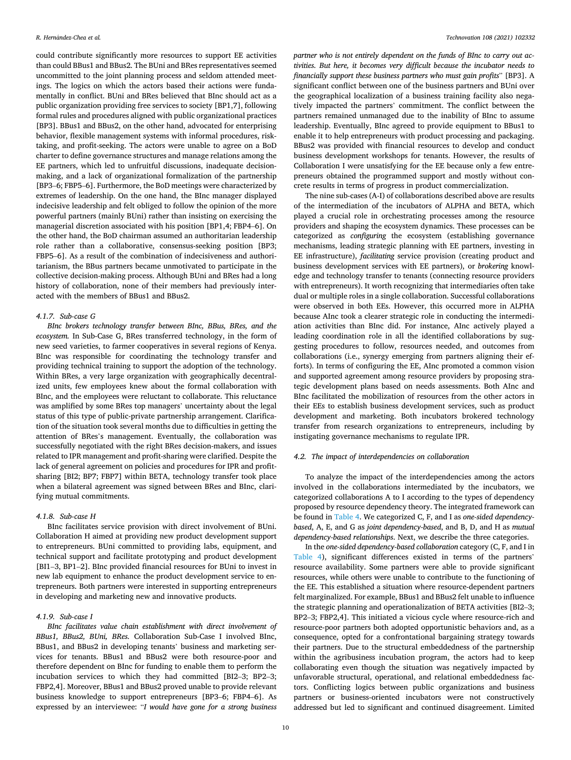could contribute significantly more resources to support EE activities than could BBus1 and BBus2. The BUni and BRes representatives seemed uncommitted to the joint planning process and seldom attended meetings. The logics on which the actors based their actions were fundamentally in conflict. BUni and BRes believed that BInc should act as a public organization providing free services to society [BP1,7], following formal rules and procedures aligned with public organizational practices [BP3]. BBus1 and BBus2, on the other hand, advocated for enterprising behavior, flexible management systems with informal procedures, risktaking, and profit-seeking. The actors were unable to agree on a BoD charter to define governance structures and manage relations among the EE partners, which led to unfruitful discussions, inadequate decisionmaking, and a lack of organizational formalization of the partnership [BP3–6; FBP5–6]. Furthermore, the BoD meetings were characterized by extremes of leadership. On the one hand, the BInc manager displayed indecisive leadership and felt obliged to follow the opinion of the more powerful partners (mainly BUni) rather than insisting on exercising the managerial discretion associated with his position [BP1,4; FBP4–6]. On the other hand, the BoD chairman assumed an authoritarian leadership role rather than a collaborative, consensus-seeking position [BP3; FBP5–6]. As a result of the combination of indecisiveness and authoritarianism, the BBus partners became unmotivated to participate in the collective decision-making process. Although BUni and BRes had a long history of collaboration, none of their members had previously interacted with the members of BBus1 and BBus2.

## *4.1.7. Sub-case G*

*BInc brokers technology transfer between BInc, BBus, BRes, and the ecosystem.* In Sub-Case G, BRes transferred technology, in the form of new seed varieties, to farmer cooperatives in several regions of Kenya. BInc was responsible for coordinating the technology transfer and providing technical training to support the adoption of the technology. Within BRes, a very large organization with geographically decentralized units, few employees knew about the formal collaboration with BInc, and the employees were reluctant to collaborate. This reluctance was amplified by some BRes top managers' uncertainty about the legal status of this type of public-private partnership arrangement. Clarification of the situation took several months due to difficulties in getting the attention of BRes's management. Eventually, the collaboration was successfully negotiated with the right BRes decision-makers, and issues related to IPR management and profit-sharing were clarified. Despite the lack of general agreement on policies and procedures for IPR and profitsharing [BI2; BP7; FBP7] within BETA, technology transfer took place when a bilateral agreement was signed between BRes and BInc, clarifying mutual commitments.

# *4.1.8. Sub-case H*

BInc facilitates service provision with direct involvement of BUni. Collaboration H aimed at providing new product development support to entrepreneurs. BUni committed to providing labs, equipment, and technical support and facilitate prototyping and product development [BI1–3, BP1–2]. BInc provided financial resources for BUni to invest in new lab equipment to enhance the product development service to entrepreneurs. Both partners were interested in supporting entrepreneurs in developing and marketing new and innovative products.

## *4.1.9. Sub-case I*

*BInc facilitates value chain establishment with direct involvement of BBus1, BBus2, BUni, BRes.* Collaboration Sub-Case I involved BInc, BBus1, and BBus2 in developing tenants' business and marketing services for tenants. BBus1 and BBus2 were both resource-poor and therefore dependent on BInc for funding to enable them to perform the incubation services to which they had committed [BI2–3; BP2–3; FBP2,4]. Moreover, BBus1 and BBus2 proved unable to provide relevant business knowledge to support entrepreneurs [BP3–6; FBP4–6]. As expressed by an interviewee: "*I would have gone for a strong business* 

*partner who is not entirely dependent on the funds of BInc to carry out activities. But here, it becomes very difficult because the incubator needs to financially support these business partners who must gain profits*" [BP3]. A significant conflict between one of the business partners and BUni over the geographical localization of a business training facility also negatively impacted the partners' commitment. The conflict between the partners remained unmanaged due to the inability of BInc to assume leadership. Eventually, BInc agreed to provide equipment to BBus1 to enable it to help entrepreneurs with product processing and packaging. BBus2 was provided with financial resources to develop and conduct business development workshops for tenants. However, the results of Collaboration I were unsatisfying for the EE because only a few entrepreneurs obtained the programmed support and mostly without concrete results in terms of progress in product commercialization.

The nine sub-cases (A-I) of collaborations described above are results of the intermediation of the incubators of ALPHA and BETA, which played a crucial role in orchestrating processes among the resource providers and shaping the ecosystem dynamics. These processes can be categorized as *configuring* the ecosystem (establishing governance mechanisms, leading strategic planning with EE partners, investing in EE infrastructure), *facilitating* service provision (creating product and business development services with EE partners), or *brokering* knowledge and technology transfer to tenants (connecting resource providers with entrepreneurs). It worth recognizing that intermediaries often take dual or multiple roles in a single collaboration. Successful collaborations were observed in both EEs. However, this occurred more in ALPHA because AInc took a clearer strategic role in conducting the intermediation activities than BInc did. For instance, AInc actively played a leading coordination role in all the identified collaborations by suggesting procedures to follow, resources needed, and outcomes from collaborations (i.e., synergy emerging from partners aligning their efforts). In terms of configuring the EE, AInc promoted a common vision and supported agreement among resource providers by proposing strategic development plans based on needs assessments. Both AInc and BInc facilitated the mobilization of resources from the other actors in their EEs to establish business development services, such as product development and marketing. Both incubators brokered technology transfer from research organizations to entrepreneurs, including by instigating governance mechanisms to regulate IPR.

## *4.2. The impact of interdependencies on collaboration*

To analyze the impact of the interdependencies among the actors involved in the collaborations intermediated by the incubators, we categorized collaborations A to I according to the types of dependency proposed by resource dependency theory. The integrated framework can be found in [Table 4](#page-10-0). We categorized C, F, and I as *one-sided dependencybased*, A, E, and G as *joint dependency-based*, and B, D, and H as *mutual dependency-based relationships*. Next, we describe the three categories.

In the *one-sided dependency-based collaboration* category (C, F, and I in [Table 4\)](#page-10-0), significant differences existed in terms of the partners' resource availability. Some partners were able to provide significant resources, while others were unable to contribute to the functioning of the EE. This established a situation where resource-dependent partners felt marginalized. For example, BBus1 and BBus2 felt unable to influence the strategic planning and operationalization of BETA activities [BI2–3; BP2–3; FBP2,4]. This initiated a vicious cycle where resource-rich and resource-poor partners both adopted opportunistic behaviors and, as a consequence, opted for a confrontational bargaining strategy towards their partners. Due to the structural embeddedness of the partnership within the agribusiness incubation program, the actors had to keep collaborating even though the situation was negatively impacted by unfavorable structural, operational, and relational embeddedness factors. Conflicting logics between public organizations and business partners or business-oriented incubators were not constructively addressed but led to significant and continued disagreement. Limited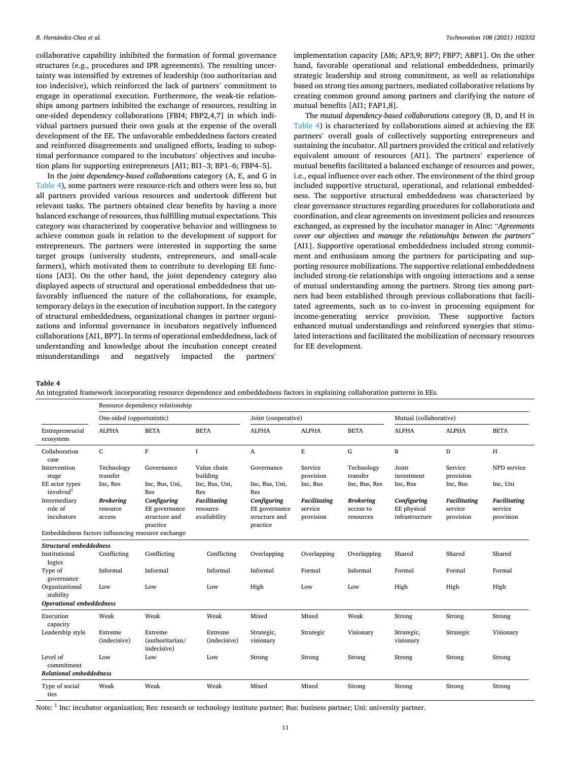<span id="page-10-0"></span>collaborative capability inhibited the formation of formal governance structures (e.g., procedures and IPR agreements). The resulting uncertainty was intensified by extremes of leadership (too authoritarian and too indecisive), which reinforced the lack of partners' commitment to engage in operational execution. Furthermore, the weak-tie relationships among partners inhibited the exchange of resources, resulting in one-sided dependency collaborations [FBI4; FBP2,4,7] in which individual partners pursued their own goals at the expense of the overall development of the EE. The unfavorable embeddedness factors created and reinforced disagreements and unaligned efforts, leading to suboptimal performance compared to the incubators' objectives and incubation plans for supporting entrepreneurs [AI1; BI1–3; BP1–6; FBP4–5].

In the *joint dependency-based collaborations* category (A, E, and G in Table 4), some partners were resource-rich and others were less so, but all partners provided various resources and undertook different but relevant tasks. The partners obtained clear benefits by having a more balanced exchange of resources, thus fulfilling mutual expectations. This category was characterized by cooperative behavior and willingness to achieve common goals in relation to the development of support for entrepreneurs. The partners were interested in supporting the same target groups (university students, entrepreneurs, and small-scale farmers), which motivated them to contribute to developing EE functions [AI3]. On the other hand, the joint dependency category also displayed aspects of structural and operational embeddedness that unfavorably influenced the nature of the collaborations, for example, temporary delays in the execution of incubation support. In the category of structural embeddedness, organizational changes in partner organizations and informal governance in incubators negatively influenced collaborations [AI1, BP7]. In terms of operational embeddedness, lack of understanding and knowledge about the incubation concept created misunderstandings and negatively impacted the partners'

implementation capacity [AI6; AP3,9; BP7; FBP7; ABP1]. On the other hand, favorable operational and relational embeddedness, primarily strategic leadership and strong commitment, as well as relationships based on strong ties among partners, mediated collaborative relations by creating common ground among partners and clarifying the nature of mutual benefits [AI1; FAP1,8].

The *mutual dependency-based collaborations* category (B, D, and H in Table 4) is characterized by collaborations aimed at achieving the EE partners' overall goals of collectively supporting entrepreneurs and sustaining the incubator. All partners provided the critical and relatively equivalent amount of resources [AI1]. The partners' experience of mutual benefits facilitated a balanced exchange of resources and power, i.e., equal influence over each other. The environment of the third group included supportive structural, operational, and relational embeddedness. The supportive structural embeddedness was characterized by clear governance structures regarding procedures for collaborations and coordination, and clear agreements on investment policies and resources exchanged, as expressed by the incubator manager in AInc: "*Agreements cover our objectives and manage the relationships between the partners*" [AI1]. Supportive operational embeddedness included strong commitment and enthusiasm among the partners for participating and supporting resource mobilizations. The supportive relational embeddedness included strong-tie relationships with ongoing interactions and a sense of mutual understanding among the partners. Strong ties among partners had been established through previous collaborations that facilitated agreements, such as to co-invest in processing equipment for income-generating service provision. These supportive factors enhanced mutual understandings and reinforced synergies that stimulated interactions and facilitated the mobilization of necessary resources for EE development.

#### **Table 4**

|  |  | An integrated framework incorporating resource dependence and embeddedness factors in explaining collaboration patterns in EEs. |
|--|--|---------------------------------------------------------------------------------------------------------------------------------|
|  |  |                                                                                                                                 |

|                                                          | Resource dependency relationship       |                                                           |                                                 |                                                           |                                      |                                            |                                              |                                      |                                             |
|----------------------------------------------------------|----------------------------------------|-----------------------------------------------------------|-------------------------------------------------|-----------------------------------------------------------|--------------------------------------|--------------------------------------------|----------------------------------------------|--------------------------------------|---------------------------------------------|
|                                                          | One-sided (opportunistic)              |                                                           |                                                 | Joint (cooperative)                                       |                                      |                                            | Mutual (collaborative)                       |                                      |                                             |
| Entrepreneurial<br>ecosystem                             | <b>ALPHA</b>                           | <b>BETA</b>                                               | <b>BETA</b>                                     | <b>ALPHA</b>                                              | <b>ALPHA</b>                         | <b>BETA</b>                                | <b>ALPHA</b>                                 | <b>ALPHA</b>                         | <b>BETA</b>                                 |
| Collaboration<br>case                                    | $\mathsf{C}$                           | F                                                         | I                                               | A                                                         | $\mathbf E$                          | G                                          | $\, {\bf B}$                                 | D                                    | H                                           |
| Intervention<br>stage                                    | Technology<br>transfer                 | Governance                                                | Value chain<br>building                         | Governance                                                | Service<br>provision                 | Technology<br>transfer                     | Joint<br>investment                          | Service<br>provision                 | NPD service                                 |
| EE actor types<br>involved <sup>1</sup>                  | Inc, Res                               | Inc, Bus, Uni,<br>Res                                     | Inc, Bus, Uni,<br>Res                           | Inc, Bus, Uni,<br>Res                                     | Inc, Bus                             | Inc, Bus, Res                              | Inc, Bus                                     | Inc, Bus                             | Inc, Uni                                    |
| Intermediary<br>role of<br>incubators                    | <b>Brokering</b><br>resource<br>access | Configuring<br>EE governance<br>structure and<br>practice | <b>Facilitating</b><br>resource<br>availability | Configuring<br>EE governance<br>structure and<br>practice | Facilitating<br>service<br>provision | <b>Brokering</b><br>access to<br>resources | Configuring<br>EE physical<br>infrastructure | Facilitating<br>service<br>provision | <b>Facilitating</b><br>service<br>provision |
| Embeddedness factors influencing resource exchange       |                                        |                                                           |                                                 |                                                           |                                      |                                            |                                              |                                      |                                             |
| Structural embeddedness<br>Institutional<br>logics       | Conflicting                            | Conflicting                                               | Conflicting                                     | Overlapping                                               | Overlapping                          | Overlapping                                | Shared                                       | Shared                               | Shared                                      |
| Type of<br>governance                                    | Informal                               | Informal                                                  | Informal                                        | Informal                                                  | Formal                               | Informal                                   | Formal                                       | Formal                               | Formal                                      |
| Organizational<br>stability                              | Low                                    | Low                                                       | Low                                             | High                                                      | Low                                  | Low                                        | High                                         | High                                 | High                                        |
| Operational embeddedness                                 |                                        |                                                           |                                                 |                                                           |                                      |                                            |                                              |                                      |                                             |
| Execution<br>capacity                                    | Weak                                   | Weak                                                      | Weak                                            | Mixed                                                     | Mixed                                | Weak                                       | Strong                                       | Strong                               | Strong                                      |
| Leadership style                                         | Extreme<br>(indecisive)                | Extreme<br>(authoritarian/<br>indecisive)                 | Extreme<br>(indecisive)                         | Strategic,<br>visionary                                   | Strategic                            | Visionary                                  | Strategic,<br>visionary                      | Strategic                            | Visionary                                   |
| Level of<br>commitment                                   | Low                                    | Low                                                       | Low                                             | Strong                                                    | Strong                               | Strong                                     | Strong                                       | Strong                               | Strong                                      |
| <b>Relational embeddedness</b><br>Type of social<br>ties | Weak                                   | Weak                                                      | Weak                                            | Mixed                                                     | Mixed                                | Strong                                     | Strong                                       | Strong                               | Strong                                      |

Note: 1 Inc: incubator organization; Res: research or technology institute partner; Bus: business partner; Uni: university partner.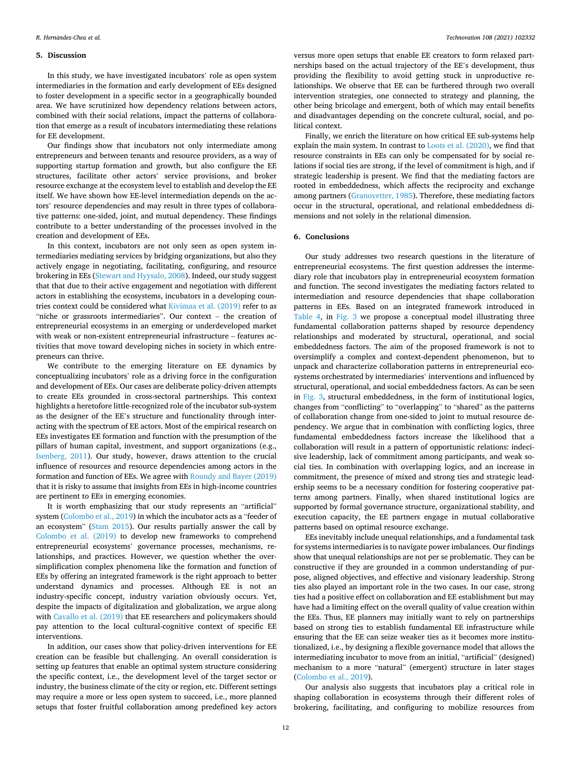#### **5. Discussion**

In this study, we have investigated incubators' role as open system intermediaries in the formation and early development of EEs designed to foster development in a specific sector in a geographically bounded area. We have scrutinized how dependency relations between actors, combined with their social relations, impact the patterns of collaboration that emerge as a result of incubators intermediating these relations for EE development.

Our findings show that incubators not only intermediate among entrepreneurs and between tenants and resource providers, as a way of supporting startup formation and growth, but also configure the EE structures, facilitate other actors' service provisions, and broker resource exchange at the ecosystem level to establish and develop the EE itself. We have shown how EE-level intermediation depends on the actors' resource dependencies and may result in three types of collaborative patterns: one-sided, joint, and mutual dependency. These findings contribute to a better understanding of the processes involved in the creation and development of EEs.

In this context, incubators are not only seen as open system intermediaries mediating services by bridging organizations, but also they actively engage in negotiating, facilitating, configuring, and resource brokering in EEs ([Stewart and Hyysalo, 2008](#page-13-0)). Indeed, our study suggest that that due to their active engagement and negotiation with different actors in establishing the ecosystems, incubators in a developing countries context could be considered what [Kivimaa et al. \(2019\)](#page-13-0) refer to as "niche or grassroots intermediaries". Our context – the creation of entrepreneurial ecosystems in an emerging or underdeveloped market with weak or non-existent entrepreneurial infrastructure – features activities that move toward developing niches in society in which entrepreneurs can thrive.

We contribute to the emerging literature on EE dynamics by conceptualizing incubators' role as a driving force in the configuration and development of EEs. Our cases are deliberate policy-driven attempts to create EEs grounded in cross-sectoral partnerships. This context highlights a heretofore little-recognized role of the incubator sub-system as the designer of the EE's structure and functionality through interacting with the spectrum of EE actors. Most of the empirical research on EEs investigates EE formation and function with the presumption of the pillars of human capital, investment, and support organizations (e.g., [Isenberg, 2011](#page-13-0)). Our study, however, draws attention to the crucial influence of resources and resource dependencies among actors in the formation and function of EEs. We agree with [Roundy and Bayer \(2019\)](#page-13-0)  that it is risky to assume that insights from EEs in high-income countries are pertinent to EEs in emerging economies.

It is worth emphasizing that our study represents an "artificial" system [\(Colombo et al., 2019\)](#page-13-0) in which the incubator acts as a "feeder of an ecosystem" ([Stam 2015\)](#page-13-0). Our results partially answer the call by [Colombo et al. \(2019\)](#page-13-0) to develop new frameworks to comprehend entrepreneurial ecosystems' governance processes, mechanisms, relationships, and practices. However, we question whether the oversimplification complex phenomena like the formation and function of EEs by offering an integrated framework is the right approach to better understand dynamics and processes. Although EE is not an industry-specific concept, industry variation obviously occurs. Yet, despite the impacts of digitalization and globalization, we argue along with [Cavallo et al. \(2019\)](#page-13-0) that EE researchers and policymakers should pay attention to the local cultural-cognitive context of specific EE interventions.

In addition, our cases show that policy-driven interventions for EE creation can be feasible but challenging. An overall consideration is setting up features that enable an optimal system structure considering the specific context, i.e., the development level of the target sector or industry, the business climate of the city or region, etc. Different settings may require a more or less open system to succeed, i.e., more planned setups that foster fruitful collaboration among predefined key actors

versus more open setups that enable EE creators to form relaxed partnerships based on the actual trajectory of the EE's development, thus providing the flexibility to avoid getting stuck in unproductive relationships. We observe that EE can be furthered through two overall intervention strategies, one connected to strategy and planning, the other being bricolage and emergent, both of which may entail benefits and disadvantages depending on the concrete cultural, social, and political context.

Finally, we enrich the literature on how critical EE sub-systems help explain the main system. In contrast to [Loots et al. \(2020\)](#page-13-0), we find that resource constraints in EEs can only be compensated for by social relations if social ties are strong, if the level of commitment is high, and if strategic leadership is present. We find that the mediating factors are rooted in embeddedness, which affects the reciprocity and exchange among partners [\(Granovetter, 1985\)](#page-13-0). Therefore, these mediating factors occur in the structural, operational, and relational embeddedness dimensions and not solely in the relational dimension.

## **6. Conclusions**

Our study addresses two research questions in the literature of entrepreneurial ecosystems. The first question addresses the intermediary role that incubators play in entrepreneurial ecosystem formation and function. The second investigates the mediating factors related to intermediation and resource dependencies that shape collaboration patterns in EEs. Based on an integrated framework introduced in [Table 4](#page-10-0), in [Fig. 3](#page-12-0) we propose a conceptual model illustrating three fundamental collaboration patterns shaped by resource dependency relationships and moderated by structural, operational, and social embeddedness factors. The aim of the proposed framework is not to oversimplify a complex and context-dependent phenomenon, but to unpack and characterize collaboration patterns in entrepreneurial ecosystems orchestrated by intermediaries' interventions and influenced by structural, operational, and social embeddedness factors. As can be seen in [Fig. 3](#page-12-0), structural embeddedness, in the form of institutional logics, changes from "conflicting" to "overlapping" to "shared" as the patterns of collaboration change from one-sided to joint to mutual resource dependency. We argue that in combination with conflicting logics, three fundamental embeddedness factors increase the likelihood that a collaboration will result in a pattern of opportunistic relations: indecisive leadership, lack of commitment among participants, and weak social ties. In combination with overlapping logics, and an increase in commitment, the presence of mixed and strong ties and strategic leadership seems to be a necessary condition for fostering cooperative patterns among partners. Finally, when shared institutional logics are supported by formal governance structure, organizational stability, and execution capacity, the EE partners engage in mutual collaborative patterns based on optimal resource exchange.

EEs inevitably include unequal relationships, and a fundamental task for systems intermediaries is to navigate power imbalances. Our findings show that unequal relationships are not per se problematic. They can be constructive if they are grounded in a common understanding of purpose, aligned objectives, and effective and visionary leadership. Strong ties also played an important role in the two cases. In our case, strong ties had a positive effect on collaboration and EE establishment but may have had a limiting effect on the overall quality of value creation within the EEs. Thus, EE planners may initially want to rely on partnerships based on strong ties to establish fundamental EE infrastructure while ensuring that the EE can seize weaker ties as it becomes more institutionalized, i.e., by designing a flexible governance model that allows the intermediating incubator to move from an initial, "artificial" (designed) mechanism to a more "natural" (emergent) structure in later stages ([Colombo et al., 2019\)](#page-13-0).

Our analysis also suggests that incubators play a critical role in shaping collaboration in ecosystems through their different roles of brokering, facilitating, and configuring to mobilize resources from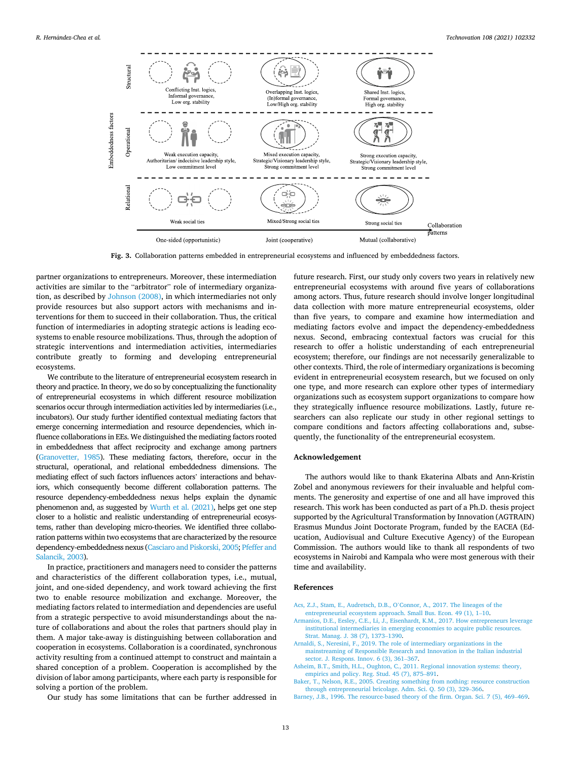<span id="page-12-0"></span>

**Fig. 3.** Collaboration patterns embedded in entrepreneurial ecosystems and influenced by embeddedness factors.

partner organizations to entrepreneurs. Moreover, these intermediation activities are similar to the "arbitrator" role of intermediary organization, as described by [Johnson \(2008\)](#page-13-0), in which intermediaries not only provide resources but also support actors with mechanisms and interventions for them to succeed in their collaboration. Thus, the critical function of intermediaries in adopting strategic actions is leading ecosystems to enable resource mobilizations. Thus, through the adoption of strategic interventions and intermediation activities, intermediaries contribute greatly to forming and developing entrepreneurial ecosystems.

We contribute to the literature of entrepreneurial ecosystem research in theory and practice. In theory, we do so by conceptualizing the functionality of entrepreneurial ecosystems in which different resource mobilization scenarios occur through intermediation activities led by intermediaries (i.e., incubators). Our study further identified contextual mediating factors that emerge concerning intermediation and resource dependencies, which influence collaborations in EEs. We distinguished the mediating factors rooted in embeddedness that affect reciprocity and exchange among partners [\(Granovetter, 1985](#page-13-0)). These mediating factors, therefore, occur in the structural, operational, and relational embeddedness dimensions. The mediating effect of such factors influences actors' interactions and behaviors, which consequently become different collaboration patterns. The resource dependency-embeddedness nexus helps explain the dynamic phenomenon and, as suggested by [Wurth et al. \(2021\),](#page-13-0) helps get one step closer to a holistic and realistic understanding of entrepreneurial ecosystems, rather than developing micro-theories. We identified three collaboration patterns within two ecosystems that are characterized by the resource dependency-embeddedness nexus [\(Casciaro and Piskorski, 2005; Pfeffer and](#page-13-0) [Salancik, 2003](#page-13-0)).

In practice, practitioners and managers need to consider the patterns and characteristics of the different collaboration types, i.e., mutual, joint, and one-sided dependency, and work toward achieving the first two to enable resource mobilization and exchange. Moreover, the mediating factors related to intermediation and dependencies are useful from a strategic perspective to avoid misunderstandings about the nature of collaborations and about the roles that partners should play in them. A major take-away is distinguishing between collaboration and cooperation in ecosystems. Collaboration is a coordinated, synchronous activity resulting from a continued attempt to construct and maintain a shared conception of a problem. Cooperation is accomplished by the division of labor among participants, where each party is responsible for solving a portion of the problem.

Our study has some limitations that can be further addressed in

future research. First, our study only covers two years in relatively new entrepreneurial ecosystems with around five years of collaborations among actors. Thus, future research should involve longer longitudinal data collection with more mature entrepreneurial ecosystems, older than five years, to compare and examine how intermediation and mediating factors evolve and impact the dependency-embeddedness nexus. Second, embracing contextual factors was crucial for this research to offer a holistic understanding of each entrepreneurial ecosystem; therefore, our findings are not necessarily generalizable to other contexts. Third, the role of intermediary organizations is becoming evident in entrepreneurial ecosystem research, but we focused on only one type, and more research can explore other types of intermediary organizations such as ecosystem support organizations to compare how they strategically influence resource mobilizations. Lastly, future researchers can also replicate our study in other regional settings to compare conditions and factors affecting collaborations and, subsequently, the functionality of the entrepreneurial ecosystem.

# **Acknowledgement**

The authors would like to thank Ekaterina Albats and Ann-Kristin Zobel and anonymous reviewers for their invaluable and helpful comments. The generosity and expertise of one and all have improved this research. This work has been conducted as part of a Ph.D. thesis project supported by the Agricultural Transformation by Innovation (AGTRAIN) Erasmus Mundus Joint Doctorate Program, funded by the EACEA (Education, Audiovisual and Culture Executive Agency) of the European Commission. The authors would like to thank all respondents of two ecosystems in Nairobi and Kampala who were most generous with their time and availability.

## **References**

- [Acs, Z.J., Stam, E., Audretsch, D.B., O](http://refhub.elsevier.com/S0166-4972(21)00113-9/sref1)'Connor, A., 2017. The lineages of the [entrepreneurial ecosystem approach. Small Bus. Econ. 49 \(1\), 1](http://refhub.elsevier.com/S0166-4972(21)00113-9/sref1)–10.
- [Armanios, D.E., Eesley, C.E., Li, J., Eisenhardt, K.M., 2017. How entrepreneurs leverage](http://refhub.elsevier.com/S0166-4972(21)00113-9/sref2)  [institutional intermediaries in emerging economies to acquire public resources.](http://refhub.elsevier.com/S0166-4972(21)00113-9/sref2) [Strat. Manag. J. 38 \(7\), 1373](http://refhub.elsevier.com/S0166-4972(21)00113-9/sref2)–1390.
- [Arnaldi, S., Neresini, F., 2019. The role of intermediary organizations in the](http://refhub.elsevier.com/S0166-4972(21)00113-9/sref3)
- [mainstreaming of Responsible Research and Innovation in the Italian industrial](http://refhub.elsevier.com/S0166-4972(21)00113-9/sref3)  [sector. J. Respons. Innov. 6 \(3\), 361](http://refhub.elsevier.com/S0166-4972(21)00113-9/sref3)–367.
- [Asheim, B.T., Smith, H.L., Oughton, C., 2011. Regional innovation systems: theory,](http://refhub.elsevier.com/S0166-4972(21)00113-9/sref4) [empirics and policy. Reg. Stud. 45 \(7\), 875](http://refhub.elsevier.com/S0166-4972(21)00113-9/sref4)–891.
- [Baker, T., Nelson, R.E., 2005. Creating something from nothing: resource construction](http://refhub.elsevier.com/S0166-4972(21)00113-9/sref5)  [through entrepreneurial bricolage. Adm. Sci. Q. 50 \(3\), 329](http://refhub.elsevier.com/S0166-4972(21)00113-9/sref5)–366.

[Barney, J.B., 1996. The resource-based theory of the firm. Organ. Sci. 7 \(5\), 469](http://refhub.elsevier.com/S0166-4972(21)00113-9/sref6)–469.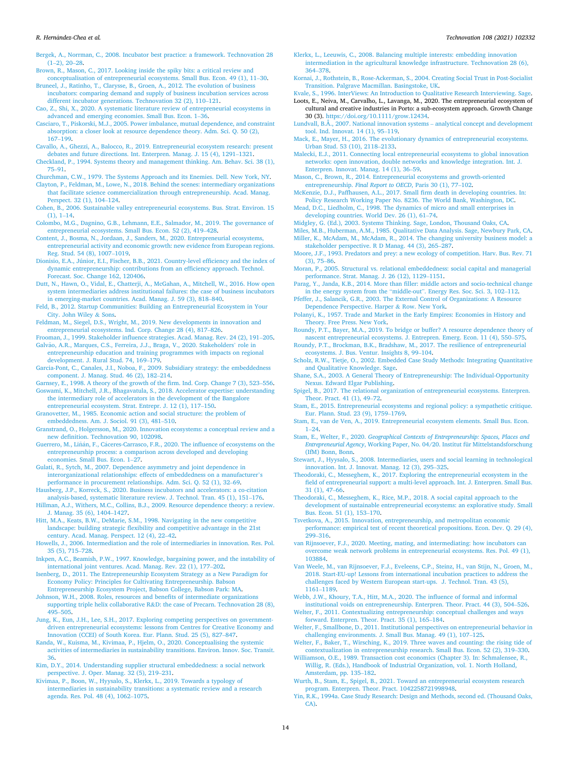- <span id="page-13-0"></span>[Bergek, A., Norrman, C., 2008. Incubator best practice: a framework. Technovation 28](http://refhub.elsevier.com/S0166-4972(21)00113-9/sref7)  $(1-2)$ ,  $20-28$ .
- [Brown, R., Mason, C., 2017. Looking inside the spiky bits: a critical review and](http://refhub.elsevier.com/S0166-4972(21)00113-9/sref8)

[conceptualisation of entrepreneurial ecosystems. Small Bus. Econ. 49 \(1\), 11](http://refhub.elsevier.com/S0166-4972(21)00113-9/sref8)–30. [Bruneel, J., Ratinho, T., Clarysse, B., Groen, A., 2012. The evolution of business](http://refhub.elsevier.com/S0166-4972(21)00113-9/sref9)

- [incubators: comparing demand and supply of business incubation services across](http://refhub.elsevier.com/S0166-4972(21)00113-9/sref9) [different incubator generations. Technovation 32 \(2\), 110](http://refhub.elsevier.com/S0166-4972(21)00113-9/sref9)–121.
- [Cao, Z., Shi, X., 2020. A systematic literature review of entrepreneurial ecosystems in](http://refhub.elsevier.com/S0166-4972(21)00113-9/sref10) [advanced and emerging economies. Small Bus. Econ. 1](http://refhub.elsevier.com/S0166-4972(21)00113-9/sref10)–36.
- [Casciaro, T., Piskorski, M.J., 2005. Power imbalance, mutual dependence, and constraint](http://refhub.elsevier.com/S0166-4972(21)00113-9/sref11)  [absorption: a closer look at resource dependence theory. Adm. Sci. Q. 50 \(2\),](http://refhub.elsevier.com/S0166-4972(21)00113-9/sref11)  167–[199](http://refhub.elsevier.com/S0166-4972(21)00113-9/sref11).
- [Cavallo, A., Ghezzi, A., Balocco, R., 2019. Entrepreneurial ecosystem research: present](http://refhub.elsevier.com/S0166-4972(21)00113-9/sref12)  [debates and future directions. Int. Enterpren. Manag. J. 15 \(4\), 1291](http://refhub.elsevier.com/S0166-4972(21)00113-9/sref12)–1321.
- [Checkland, P., 1994. Systems theory and management thinking. Am. Behav. Sci. 38 \(1\),](http://refhub.elsevier.com/S0166-4972(21)00113-9/sref13)  75–[91](http://refhub.elsevier.com/S0166-4972(21)00113-9/sref13).
- [Churchman, C.W., 1979. The Systems Approach and its Enemies. Dell. New York, NY](http://refhub.elsevier.com/S0166-4972(21)00113-9/sref14).

[Clayton, P., Feldman, M., Lowe, N., 2018. Behind the scenes: intermediary organizations](http://refhub.elsevier.com/S0166-4972(21)00113-9/sref15)  [that facilitate science commercialization through entrepreneurship. Acad. Manag.](http://refhub.elsevier.com/S0166-4972(21)00113-9/sref15) [Perspect. 32 \(1\), 104](http://refhub.elsevier.com/S0166-4972(21)00113-9/sref15)–124.

- [Cohen, B., 2006. Sustainable valley entrepreneurial ecosystems. Bus. Strat. Environ. 15](http://refhub.elsevier.com/S0166-4972(21)00113-9/sref16)  $(1), 1–14.$  $(1), 1–14.$
- [Colombo, M.G., Dagnino, G.B., Lehmann, E.E., Salmador, M., 2019. The governance of](http://refhub.elsevier.com/S0166-4972(21)00113-9/sref17) [entrepreneurial ecosystems. Small Bus. Econ. 52 \(2\), 419](http://refhub.elsevier.com/S0166-4972(21)00113-9/sref17)–428.
- [Content, J., Bosma, N., Jordaan, J., Sanders, M., 2020. Entrepreneurial ecosystems,](http://refhub.elsevier.com/S0166-4972(21)00113-9/sref18) [entrepreneurial activity and economic growth: new evidence from European regions.](http://refhub.elsevier.com/S0166-4972(21)00113-9/sref18)  [Reg. Stud. 54 \(8\), 1007](http://refhub.elsevier.com/S0166-4972(21)00113-9/sref18)–1019.
- [Dionisio, E.A., Júnior, E.I., Fischer, B.B., 2021. Country-level efficiency and the index of](http://refhub.elsevier.com/S0166-4972(21)00113-9/sref19)  [dynamic entrepreneurship: contributions from an efficiency approach. Technol.](http://refhub.elsevier.com/S0166-4972(21)00113-9/sref19) [Forecast. Soc. Change 162, 120406.](http://refhub.elsevier.com/S0166-4972(21)00113-9/sref19)
- [Dutt, N., Hawn, O., Vidal, E., Chatterji, A., McGahan, A., Mitchell, W., 2016. How open](http://refhub.elsevier.com/S0166-4972(21)00113-9/sref21)  [system intermediaries address institutional failures: the case of business incubators](http://refhub.elsevier.com/S0166-4972(21)00113-9/sref21) [in emerging-market countries. Acad. Manag. J. 59 \(3\), 818](http://refhub.elsevier.com/S0166-4972(21)00113-9/sref21)–840.
- [Feld, B., 2012. Startup Communities: Building an Entrepreneurial Ecosystem in Your](http://refhub.elsevier.com/S0166-4972(21)00113-9/sref22) [City. John Wiley](http://refhub.elsevier.com/S0166-4972(21)00113-9/sref22) & Sons.
- [Feldman, M., Siegel, D.S., Wright, M., 2019. New developments in innovation and](http://refhub.elsevier.com/S0166-4972(21)00113-9/sref23)  [entrepreneurial ecosystems. Ind. Corp. Change 28 \(4\), 817](http://refhub.elsevier.com/S0166-4972(21)00113-9/sref23)–826.

[Frooman, J., 1999. Stakeholder influence strategies. Acad. Manag. Rev. 24 \(2\), 191](http://refhub.elsevier.com/S0166-4972(21)00113-9/sref24)–205.

- Galvão, A.R., Marques, C.S., Ferreira, J.J., Braga, V., 2020. Stakeholders' role in [entrepreneurship education and training programmes with impacts on regional](http://refhub.elsevier.com/S0166-4972(21)00113-9/sref25) [development. J. Rural Stud. 74, 169](http://refhub.elsevier.com/S0166-4972(21)00113-9/sref25)–179.
- [Garcia-Pont, C., Canales, J.I., Noboa, F., 2009. Subsidiary strategy: the embeddedness](http://refhub.elsevier.com/S0166-4972(21)00113-9/sref26)  [component. J. Manag. Stud. 46 \(2\), 182](http://refhub.elsevier.com/S0166-4972(21)00113-9/sref26)–214.

[Garnsey, E., 1998. A theory of the growth of the firm. Ind. Corp. Change 7 \(3\), 523](http://refhub.elsevier.com/S0166-4972(21)00113-9/sref27)–556.

[Goswami, K., Mitchell, J.R., Bhagavatula, S., 2018. Accelerator expertise: understanding](http://refhub.elsevier.com/S0166-4972(21)00113-9/sref28)  [the intermediary role of accelerators in the development of the Bangalore](http://refhub.elsevier.com/S0166-4972(21)00113-9/sref28) [entrepreneurial ecosystem. Strat. Entrepr. J. 12 \(1\), 117](http://refhub.elsevier.com/S0166-4972(21)00113-9/sref28)–150.

[Granovetter, M., 1985. Economic action and social structure: the problem of](http://refhub.elsevier.com/S0166-4972(21)00113-9/sref29) [embeddedness. Am. J. Sociol. 91 \(3\), 481](http://refhub.elsevier.com/S0166-4972(21)00113-9/sref29)–510.

- [Granstrand, O., Holgersson, M., 2020. Innovation ecosystems: a conceptual review and a](http://refhub.elsevier.com/S0166-4972(21)00113-9/sref30)  [new definition. Technovation 90, 102098](http://refhub.elsevier.com/S0166-4972(21)00113-9/sref30).
- Guerrero, M., Liñán, F., Cáceres-Carrasco, F.R., 2020. The influence of ecosystems on the [entrepreneurship process: a comparison across developed and developing](http://refhub.elsevier.com/S0166-4972(21)00113-9/sref31)  [economies. Small Bus. Econ. 1](http://refhub.elsevier.com/S0166-4972(21)00113-9/sref31)–27.
- [Gulati, R., Sytch, M., 2007. Dependence asymmetry and joint dependence in](http://refhub.elsevier.com/S0166-4972(21)00113-9/sref32) [interorganizational relationships: effects of embeddedness on a manufacturer](http://refhub.elsevier.com/S0166-4972(21)00113-9/sref32)'s [performance in procurement relationships. Adm. Sci. Q. 52 \(1\), 32](http://refhub.elsevier.com/S0166-4972(21)00113-9/sref32)–69.
- [Hausberg, J.P., Korreck, S., 2020. Business incubators and accelerators: a co-citation](http://refhub.elsevier.com/S0166-4972(21)00113-9/sref33)  [analysis-based, systematic literature review. J. Technol. Tran. 45 \(1\), 151](http://refhub.elsevier.com/S0166-4972(21)00113-9/sref33)–176.

[Hillman, A.J., Withers, M.C., Collins, B.J., 2009. Resource dependence theory: a review.](http://refhub.elsevier.com/S0166-4972(21)00113-9/sref34)  [J. Manag. 35 \(6\), 1404](http://refhub.elsevier.com/S0166-4972(21)00113-9/sref34)–1427.

- [Hitt, M.A., Keats, B.W., DeMarie, S.M., 1998. Navigating in the new competitive](http://refhub.elsevier.com/S0166-4972(21)00113-9/sref35) [landscape: building strategic flexibility and competitive advantage in the 21st](http://refhub.elsevier.com/S0166-4972(21)00113-9/sref35)  [century. Acad. Manag. Perspect. 12 \(4\), 22](http://refhub.elsevier.com/S0166-4972(21)00113-9/sref35)–42.
- [Howells, J., 2006. Intermediation and the role of intermediaries in innovation. Res. Pol.](http://refhub.elsevier.com/S0166-4972(21)00113-9/sref36)  [35 \(5\), 715](http://refhub.elsevier.com/S0166-4972(21)00113-9/sref36)–728.
- [Inkpen, A.C., Beamish, P.W., 1997. Knowledge, bargaining power, and the instability of](http://refhub.elsevier.com/S0166-4972(21)00113-9/sref37)  [international joint ventures. Acad. Manag. Rev. 22 \(1\), 177](http://refhub.elsevier.com/S0166-4972(21)00113-9/sref37)–202.
- [Isenberg, D., 2011. The Entrepreneurship Ecosystem Strategy as a New Paradigm for](http://refhub.elsevier.com/S0166-4972(21)00113-9/sref38)  [Economy Policy: Principles for Cultivating Entrepreneurship. Babson](http://refhub.elsevier.com/S0166-4972(21)00113-9/sref38) [Entrepreneurship Ecosystem Project, Babson College, Babson Park: MA.](http://refhub.elsevier.com/S0166-4972(21)00113-9/sref38)
- [Johnson, W.H., 2008. Roles, resources and benefits of intermediate organizations](http://refhub.elsevier.com/S0166-4972(21)00113-9/sref39)  supporting triple helix collaborative R&[D: the case of Precarn. Technovation 28 \(8\),](http://refhub.elsevier.com/S0166-4972(21)00113-9/sref39)  495–[505](http://refhub.elsevier.com/S0166-4972(21)00113-9/sref39).
- [Jung, K., Eun, J.H., Lee, S.H., 2017. Exploring competing perspectives on government](http://refhub.elsevier.com/S0166-4972(21)00113-9/sref40)[driven entrepreneurial ecosystems: lessons from Centres for Creative Economy and](http://refhub.elsevier.com/S0166-4972(21)00113-9/sref40)  [Innovation \(CCEI\) of South Korea. Eur. Plann. Stud. 25 \(5\), 827](http://refhub.elsevier.com/S0166-4972(21)00113-9/sref40)–847.
- [Kanda, W., Kuisma, M., Kivimaa, P., Hjelm, O., 2020. Conceptualising the systemic](http://refhub.elsevier.com/S0166-4972(21)00113-9/sref41) [activities of intermediaries in sustainability transitions. Environ. Innov. Soc. Transit.](http://refhub.elsevier.com/S0166-4972(21)00113-9/sref41)  [36.](http://refhub.elsevier.com/S0166-4972(21)00113-9/sref41)
- [Kim, D.Y., 2014. Understanding supplier structural embeddedness: a social network](http://refhub.elsevier.com/S0166-4972(21)00113-9/sref42)  [perspective. J. Oper. Manag. 32 \(5\), 219](http://refhub.elsevier.com/S0166-4972(21)00113-9/sref42)–231.

[Kivimaa, P., Boon, W., Hyysalo, S., Klerkx, L., 2019. Towards a typology of](http://refhub.elsevier.com/S0166-4972(21)00113-9/sref43) [intermediaries in sustainability transitions: a systematic review and a research](http://refhub.elsevier.com/S0166-4972(21)00113-9/sref43) [agenda. Res. Pol. 48 \(4\), 1062](http://refhub.elsevier.com/S0166-4972(21)00113-9/sref43)–1075.

- [Klerkx, L., Leeuwis, C., 2008. Balancing multiple interests: embedding innovation](http://refhub.elsevier.com/S0166-4972(21)00113-9/sref44) [intermediation in the agricultural knowledge infrastructure. Technovation 28 \(6\),](http://refhub.elsevier.com/S0166-4972(21)00113-9/sref44)  364–[378](http://refhub.elsevier.com/S0166-4972(21)00113-9/sref44).
- [Kornai, J., Rothstein, B., Rose-Ackerman, S., 2004. Creating Social Trust in Post-Socialist](http://refhub.elsevier.com/S0166-4972(21)00113-9/sref45)  [Transition. Palgrave Macmillan. Basingstoke, UK](http://refhub.elsevier.com/S0166-4972(21)00113-9/sref45).

[Kvale, S., 1996. InterViews: An Introduction to Qualitative Research Interviewing. Sage.](http://refhub.elsevier.com/S0166-4972(21)00113-9/sref46)

- Loots, E., Neiva, M., Carvalho, L., Lavanga, M., 2020. The entrepreneurial ecosystem of cultural and creative industries in Porto: a sub-ecosystem approach. Growth Change 30 (3). [https://doi.org/10.1111/grow.12434.](https://doi.org/10.1111/grow.12434)
- [Lundvall, B.Å., 2007. National innovation systems](http://refhub.elsevier.com/S0166-4972(21)00113-9/sref48)  analytical concept and development [tool. Ind. Innovat. 14 \(1\), 95](http://refhub.elsevier.com/S0166-4972(21)00113-9/sref48)–119.

[Mack, E., Mayer, H., 2016. The evolutionary dynamics of entrepreneurial ecosystems.](http://refhub.elsevier.com/S0166-4972(21)00113-9/sref49)  [Urban Stud. 53 \(10\), 2118](http://refhub.elsevier.com/S0166-4972(21)00113-9/sref49)–2133.

- [Malecki, E.J., 2011. Connecting local entrepreneurial ecosystems to global innovation](http://refhub.elsevier.com/S0166-4972(21)00113-9/sref50)  [networks: open innovation, double networks and knowledge integration. Int. J.](http://refhub.elsevier.com/S0166-4972(21)00113-9/sref50)  [Enterpren. Innovat. Manag. 14 \(1\), 36](http://refhub.elsevier.com/S0166-4972(21)00113-9/sref50)–59.
- [Mason, C., Brown, R., 2014. Entrepreneurial ecosystems and growth-oriented](http://refhub.elsevier.com/S0166-4972(21)00113-9/sref51) entrepreneurship. *[Final Report to OECD](http://refhub.elsevier.com/S0166-4972(21)00113-9/sref51)*, Paris 30 (1), 77–102.
- [McKenzie, D.J., Paffhausen, A.L., 2017. Small firm death in developing countries. In:](http://refhub.elsevier.com/S0166-4972(21)00113-9/sref53) [Policy Research Working Paper No. 8236. The World Bank, Washington, DC](http://refhub.elsevier.com/S0166-4972(21)00113-9/sref53).
- [Mead, D.C., Liedholm, C., 1998. The dynamics of micro and small enterprises in](http://refhub.elsevier.com/S0166-4972(21)00113-9/sref54) [developing countries. World Dev. 26 \(1\), 61](http://refhub.elsevier.com/S0166-4972(21)00113-9/sref54)–74.
- [Midgley, G. \(Ed.\), 2003. Systems Thinking. Sage, London, Thousand Oaks, CA](http://refhub.elsevier.com/S0166-4972(21)00113-9/sref56).
- [Miles, M.B., Huberman, A.M., 1985. Qualitative Data Analysis. Sage, Newbury Park, CA.](http://refhub.elsevier.com/S0166-4972(21)00113-9/sref57) [Miller, K., McAdam, M., McAdam, R., 2014. The changing university business model: a](http://refhub.elsevier.com/S0166-4972(21)00113-9/sref58)  [stakeholder perspective. R D Manag. 44 \(3\), 265](http://refhub.elsevier.com/S0166-4972(21)00113-9/sref58)–287.
- [Moore, J.F., 1993. Predators and prey: a new ecology of competition. Harv. Bus. Rev. 71](http://refhub.elsevier.com/S0166-4972(21)00113-9/sref59)  [\(3\), 75](http://refhub.elsevier.com/S0166-4972(21)00113-9/sref59)–86.
- [Moran, P., 2005. Structural vs. relational embeddedness: social capital and managerial](http://refhub.elsevier.com/S0166-4972(21)00113-9/sref60) [performance. Strat. Manag. J. 26 \(12\), 1129](http://refhub.elsevier.com/S0166-4972(21)00113-9/sref60)–1151.
- [Parag, Y., Janda, K.B., 2014. More than filler: middle actors and socio-technical change](http://refhub.elsevier.com/S0166-4972(21)00113-9/sref61)  [in the energy system from the](http://refhub.elsevier.com/S0166-4972(21)00113-9/sref61) "middle-out". Energy Res. Soc. Sci. 3, 102–112. [Pfeffer, J., Salancik, G.R., 2003. The External Control of Organizations: A Resource](http://refhub.elsevier.com/S0166-4972(21)00113-9/sref62)

[Dependence Perspective. Harper](http://refhub.elsevier.com/S0166-4972(21)00113-9/sref62) & Row. New York.

- [Polanyi, K., 1957. Trade and Market in the Early Empires: Economies in History and](http://refhub.elsevier.com/S0166-4972(21)00113-9/sref63)  [Theory. Free Press. New York](http://refhub.elsevier.com/S0166-4972(21)00113-9/sref63).
- [Roundy, P.T., Bayer, M.A., 2019. To bridge or buffer? A resource dependence theory of](http://refhub.elsevier.com/S0166-4972(21)00113-9/sref64)  [nascent entrepreneurial ecosystems. J. Entrepren. Emerg. Econ. 11 \(4\), 550](http://refhub.elsevier.com/S0166-4972(21)00113-9/sref64)–575.
- [Roundy, P.T., Brockman, B.K., Bradshaw, M., 2017. The resilience of entrepreneurial](http://refhub.elsevier.com/S0166-4972(21)00113-9/sref65) [ecosystems. J. Bus. Ventur. Insights 8, 99](http://refhub.elsevier.com/S0166-4972(21)00113-9/sref65)–104.
- [Scholz, R.W., Tietje, O., 2002. Embedded Case Study Methods: Integrating Quantitative](http://refhub.elsevier.com/S0166-4972(21)00113-9/sref67)  [and Qualitative Knowledge. Sage.](http://refhub.elsevier.com/S0166-4972(21)00113-9/sref67)
- [Shane, S.A., 2003. A General Theory of Entrepreneurship: The Individual-Opportunity](http://refhub.elsevier.com/S0166-4972(21)00113-9/sref68) [Nexus. Edward Elgar Publishing.](http://refhub.elsevier.com/S0166-4972(21)00113-9/sref68)
- [Spigel, B., 2017. The relational organization of entrepreneurial ecosystems. Enterpren.](http://refhub.elsevier.com/S0166-4972(21)00113-9/sref69) [Theor. Pract. 41 \(1\), 49](http://refhub.elsevier.com/S0166-4972(21)00113-9/sref69)–72.
- [Stam, E., 2015. Entrepreneurial ecosystems and regional policy: a sympathetic critique.](http://refhub.elsevier.com/S0166-4972(21)00113-9/sref70)  [Eur. Plann. Stud. 23 \(9\), 1759](http://refhub.elsevier.com/S0166-4972(21)00113-9/sref70)–1769.
- [Stam, E., van de Ven, A., 2019. Entrepreneurial ecosystem elements. Small Bus. Econ.](http://refhub.elsevier.com/S0166-4972(21)00113-9/sref71)   $1 - 24$ .
- Stam, E., Welter, F., 2020. *[Geographical Contexts of Entrepreneurship: Spaces, Places and](http://refhub.elsevier.com/S0166-4972(21)00113-9/sref72)  Entrepreneurial Agency*[, Working Paper, No. 04/20. Institut für Mittelstandsforschung](http://refhub.elsevier.com/S0166-4972(21)00113-9/sref72)  [\(IfM\) Bonn, Bonn](http://refhub.elsevier.com/S0166-4972(21)00113-9/sref72).
- [Stewart, J., Hyysalo, S., 2008. Intermediaries, users and social learning in technological](http://refhub.elsevier.com/S0166-4972(21)00113-9/sref73)  [innovation. Int. J. Innovat. Manag. 12 \(3\), 295](http://refhub.elsevier.com/S0166-4972(21)00113-9/sref73)–325.
- [Theodoraki, C., Messeghem, K., 2017. Exploring the entrepreneurial ecosystem in the](http://refhub.elsevier.com/S0166-4972(21)00113-9/sref74)  [field of entrepreneurial support: a multi-level approach. Int. J. Enterpren. Small Bus.](http://refhub.elsevier.com/S0166-4972(21)00113-9/sref74)  [31 \(1\), 47](http://refhub.elsevier.com/S0166-4972(21)00113-9/sref74)–66.
- [Theodoraki, C., Messeghem, K., Rice, M.P., 2018. A social capital approach to the](http://refhub.elsevier.com/S0166-4972(21)00113-9/sref75) [development of sustainable entrepreneurial ecosystems: an explorative study. Small](http://refhub.elsevier.com/S0166-4972(21)00113-9/sref75)  [Bus. Econ. 51 \(1\), 153](http://refhub.elsevier.com/S0166-4972(21)00113-9/sref75)–170.
- [Tsvetkova, A., 2015. Innovation, entrepreneurship, and metropolitan economic](http://refhub.elsevier.com/S0166-4972(21)00113-9/sref76) [performance: empirical test of recent theoretical propositions. Econ. Dev. Q. 29 \(4\),](http://refhub.elsevier.com/S0166-4972(21)00113-9/sref76)  299–[316](http://refhub.elsevier.com/S0166-4972(21)00113-9/sref76).
- [van Rijnsoever, F.J., 2020. Meeting, mating, and intermediating: how incubators can](http://refhub.elsevier.com/S0166-4972(21)00113-9/sref77) [overcome weak network problems in entrepreneurial ecosystems. Res. Pol. 49 \(1\),](http://refhub.elsevier.com/S0166-4972(21)00113-9/sref77) [103884](http://refhub.elsevier.com/S0166-4972(21)00113-9/sref77).
- [Van Weele, M., van Rijnsoever, F.J., Eveleens, C.P., Steinz, H., van Stijn, N., Groen, M.,](http://refhub.elsevier.com/S0166-4972(21)00113-9/sref78)  [2018. Start-EU-up! Lessons from international incubation practices to address the](http://refhub.elsevier.com/S0166-4972(21)00113-9/sref78)  [challenges faced by Western European start-ups. J. Technol. Tran. 43 \(5\),](http://refhub.elsevier.com/S0166-4972(21)00113-9/sref78)  [1161](http://refhub.elsevier.com/S0166-4972(21)00113-9/sref78)–1189.

[Webb, J.W., Khoury, T.A., Hitt, M.A., 2020. The influence of formal and informal](http://refhub.elsevier.com/S0166-4972(21)00113-9/sref79)  [institutional voids on entrepreneurship. Enterpren. Theor. Pract. 44 \(3\), 504](http://refhub.elsevier.com/S0166-4972(21)00113-9/sref79)–526.

- [Welter, F., 2011. Contextualizing entrepreneurship: conceptual challenges and ways](http://refhub.elsevier.com/S0166-4972(21)00113-9/sref81) [forward. Enterpren. Theor. Pract. 35 \(1\), 165](http://refhub.elsevier.com/S0166-4972(21)00113-9/sref81)–184.
- [Welter, F., Smallbone, D., 2011. Institutional perspectives on entrepreneurial behavior in](http://refhub.elsevier.com/S0166-4972(21)00113-9/sref82)  [challenging environments. J. Small Bus. Manag. 49 \(1\), 107](http://refhub.elsevier.com/S0166-4972(21)00113-9/sref82)–125.
- [Welter, F., Baker, T., Wirsching, K., 2019. Three waves and counting: the rising tide of](http://refhub.elsevier.com/S0166-4972(21)00113-9/sref83)  [contextualization in entrepreneurship research. Small Bus. Econ. 52 \(2\), 319](http://refhub.elsevier.com/S0166-4972(21)00113-9/sref83)–330.
- [Williamson, O.E., 1989. Transaction cost economics \(Chapter 3\). In: Schmalensee, R.,](http://refhub.elsevier.com/S0166-4972(21)00113-9/sref85)  [Willig, R. \(Eds.\), Handbook of Industrial Organization, vol. 1. North Holland,](http://refhub.elsevier.com/S0166-4972(21)00113-9/sref85) [Amsterdam, pp. 135](http://refhub.elsevier.com/S0166-4972(21)00113-9/sref85)–182.
- [Wurth, B., Stam, E., Spigel, B., 2021. Toward an entrepreneurial ecosystem research](http://refhub.elsevier.com/S0166-4972(21)00113-9/sref87) [program. Enterpren. Theor. Pract. 1042258721998948.](http://refhub.elsevier.com/S0166-4972(21)00113-9/sref87)
- [Yin, R.K., 1994a. Case Study Research: Design and Methods, second ed. \(Thousand Oaks,](http://refhub.elsevier.com/S0166-4972(21)00113-9/sref88)  [CA\)](http://refhub.elsevier.com/S0166-4972(21)00113-9/sref88).